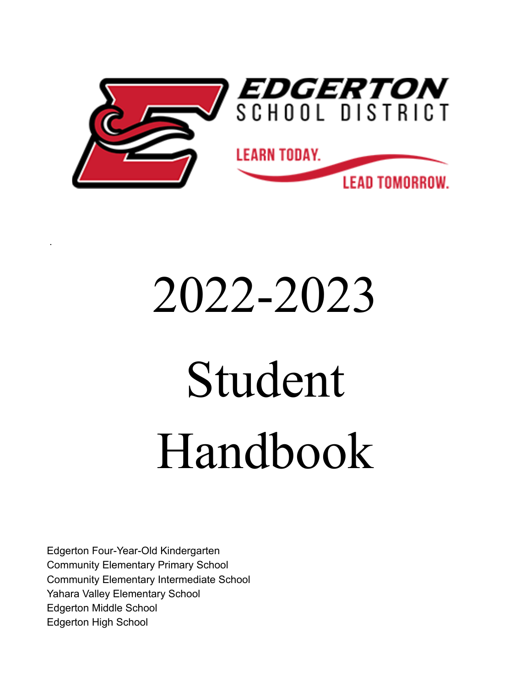

# 2022-2023

# Student Handbook

Edgerton Four-Year-Old Kindergarten Community Elementary Primary School Community Elementary Intermediate School Yahara Valley Elementary School Edgerton Middle School Edgerton High School

.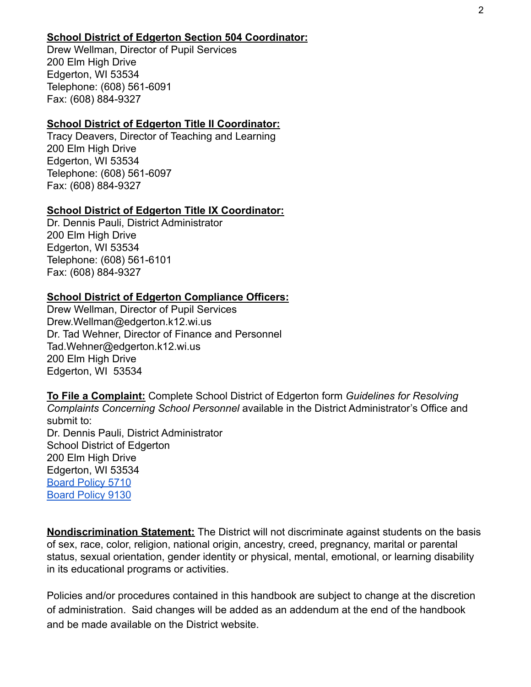#### **School District of Edgerton Section 504 Coordinator:**

Drew Wellman, Director of Pupil Services 200 Elm High Drive Edgerton, WI 53534 Telephone: (608) 561-6091 Fax: (608) 884-9327

#### **School District of Edgerton Title II Coordinator:**

Tracy Deavers, Director of Teaching and Learning 200 Elm High Drive Edgerton, WI 53534 Telephone: (608) 561-6097 Fax: (608) 884-9327

#### **School District of Edgerton Title IX Coordinator:**

Dr. Dennis Pauli, District Administrator 200 Elm High Drive Edgerton, WI 53534 Telephone: (608) 561-6101 Fax: (608) 884-9327

#### **School District of Edgerton Compliance Officers:**

Drew Wellman, Director of Pupil Services Drew.Wellman@edgerton.k12.wi.us Dr. Tad Wehner, Director of Finance and Personnel Tad.Wehner@edgerton.k12.wi.us 200 Elm High Drive Edgerton, WI 53534

**To File a Complaint:** Complete School District of Edgerton form *Guidelines for Resolving Complaints Concerning School Personnel* available in the District Administrator's Office and submit to: Dr. Dennis Pauli, District Administrator School District of Edgerton 200 Elm High Drive Edgerton, WI 53534 [Board Policy 5710](http://go.boarddocs.com/wi/edge/Board.nsf/goto?open&id=BFXLDS5484A0) [Board Policy 9130](http://go.boarddocs.com/wi/edge/Board.nsf/goto?open&id=BFXLHA548685)

**Nondiscrimination Statement:** The District will not discriminate against students on the basis of sex, race, color, religion, national origin, ancestry, creed, pregnancy, marital or parental status, sexual orientation, gender identity or physical, mental, emotional, or learning disability in its educational programs or activities.

Policies and/or procedures contained in this handbook are subject to change at the discretion of administration. Said changes will be added as an addendum at the end of the handbook and be made available on the District website.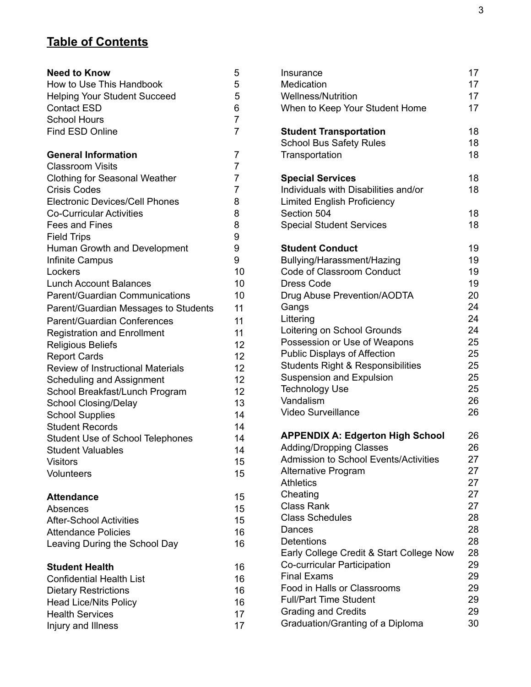## **Table of Contents**

| <b>Need to Know</b>                                   | 5                   |
|-------------------------------------------------------|---------------------|
| How to Use This Handbook                              | 5                   |
| <b>Helping Your Student Succeed</b>                   | 5                   |
| <b>Contact ESD</b>                                    | 6                   |
| <b>School Hours</b>                                   | $\overline{7}$      |
| <b>Find ESD Online</b>                                | $\overline{7}$      |
|                                                       |                     |
| <b>General Information</b><br><b>Classroom Visits</b> | 7<br>$\overline{7}$ |
| <b>Clothing for Seasonal Weather</b>                  | $\overline{7}$      |
| <b>Crisis Codes</b>                                   | $\overline{7}$      |
| <b>Electronic Devices/Cell Phones</b>                 | 8                   |
| <b>Co-Curricular Activities</b>                       | 8                   |
| <b>Fees and Fines</b>                                 | 8                   |
|                                                       | 9                   |
| <b>Field Trips</b>                                    | 9                   |
| Human Growth and Development                          | 9                   |
| Infinite Campus<br>Lockers                            | 10                  |
| <b>Lunch Account Balances</b>                         | 10                  |
| <b>Parent/Guardian Communications</b>                 | 10                  |
|                                                       |                     |
| Parent/Guardian Messages to Students                  | 11                  |
| <b>Parent/Guardian Conferences</b>                    | 11                  |
| <b>Registration and Enrollment</b>                    | 11                  |
| <b>Religious Beliefs</b>                              | 12                  |
| <b>Report Cards</b>                                   | 12 <sub>2</sub>     |
| <b>Review of Instructional Materials</b>              | 12                  |
| <b>Scheduling and Assignment</b>                      | 12                  |
| School Breakfast/Lunch Program                        | 12 <sub>2</sub>     |
| <b>School Closing/Delay</b>                           | 13                  |
| <b>School Supplies</b>                                | 14                  |
| <b>Student Records</b>                                | 14<br>14            |
| <b>Student Use of School Telephones</b>               |                     |
| <b>Student Valuables</b>                              | 14                  |
| <b>Visitors</b>                                       | 15                  |
| <b>Volunteers</b>                                     | 15                  |
| <b>Attendance</b>                                     | 15                  |
| Absences                                              | 15                  |
| <b>After-School Activities</b>                        | 15                  |
| <b>Attendance Policies</b>                            | 16                  |
| Leaving During the School Day                         | 16                  |
| <b>Student Health</b>                                 | 16                  |
| <b>Confidential Health List</b>                       | 16                  |
| <b>Dietary Restrictions</b>                           | 16                  |
| <b>Head Lice/Nits Policy</b>                          | 16                  |
| <b>Health Services</b>                                | 17                  |
| Injury and Illness                                    | 17                  |
|                                                       |                     |

| Insurance<br>Medication<br><b>Wellness/Nutrition</b><br>When to Keep Your Student Home                | 17<br>17<br>17<br>17 |
|-------------------------------------------------------------------------------------------------------|----------------------|
| <b>Student Transportation</b><br><b>School Bus Safety Rules</b><br>Transportation                     | 18<br>18<br>18       |
| <b>Special Services</b><br>Individuals with Disabilities and/or<br><b>Limited English Proficiency</b> | 18<br>18             |
| Section 504<br><b>Special Student Services</b>                                                        | 18<br>18             |
| <b>Student Conduct</b><br>Bullying/Harassment/Hazing                                                  | 19<br>19             |
| Code of Classroom Conduct                                                                             | 19                   |
| <b>Dress Code</b>                                                                                     | 19                   |
| Drug Abuse Prevention/AODTA                                                                           | 20                   |
| Gangs                                                                                                 | 24                   |
| Littering<br>Loitering on School Grounds                                                              | 24<br>24             |
| Possession or Use of Weapons                                                                          | 25                   |
| <b>Public Displays of Affection</b>                                                                   | 25                   |
| <b>Students Right &amp; Responsibilities</b>                                                          | 25                   |
| <b>Suspension and Expulsion</b>                                                                       | 25                   |
| <b>Technology Use</b>                                                                                 | 25                   |
| Vandalism                                                                                             | 26                   |
| <b>Video Surveillance</b>                                                                             | 26                   |
| <b>APPENDIX A: Edgerton High School</b>                                                               | 26                   |
| <b>Adding/Dropping Classes</b>                                                                        | 26                   |
| <b>Admission to School Events/Activities</b>                                                          | 27                   |
| <b>Alternative Program</b><br><b>Athletics</b>                                                        | 27<br>27             |
| Cheating                                                                                              | 27                   |
| <b>Class Rank</b>                                                                                     | 27                   |
| <b>Class Schedules</b>                                                                                | 28                   |
| Dances                                                                                                | 28                   |
| Detentions                                                                                            | 28                   |
| Early College Credit & Start College Now                                                              | 28                   |
| Co-curricular Participation                                                                           | 29                   |
| <b>Final Exams</b>                                                                                    | 29                   |
| Food in Halls or Classrooms<br><b>Full/Part Time Student</b>                                          | 29<br>29             |
| <b>Grading and Credits</b>                                                                            | 29                   |
| Graduation/Granting of a Diploma                                                                      | 30                   |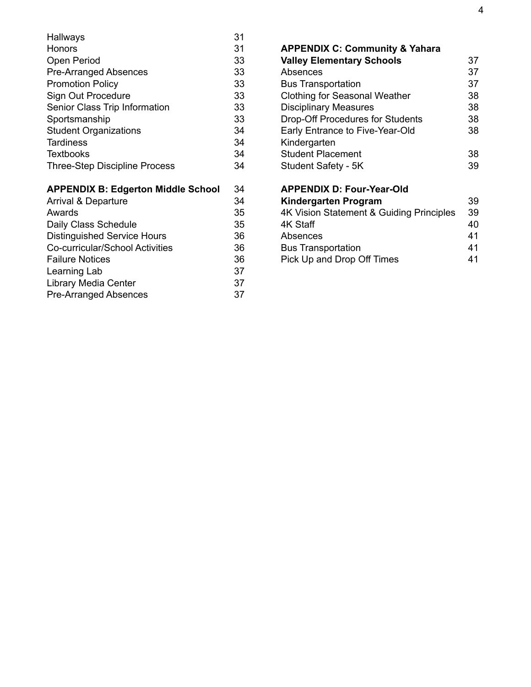| Hallways                                  | 31 |
|-------------------------------------------|----|
| Honors                                    | 31 |
| Open Period                               | 33 |
| <b>Pre-Arranged Absences</b>              | 33 |
| <b>Promotion Policy</b>                   | 33 |
| Sign Out Procedure                        | 33 |
| Senior Class Trip Information             | 33 |
| Sportsmanship                             | 33 |
| <b>Student Organizations</b>              | 34 |
| Tardiness                                 | 34 |
| <b>Textbooks</b>                          | 34 |
| <b>Three-Step Discipline Process</b>      | 34 |
| <b>APPENDIX B: Edgerton Middle School</b> | 34 |
| <b>Arrival &amp; Departure</b>            | 34 |
| Awards                                    | 35 |
| Daily Class Schedule                      | 35 |
| <b>Distinguished Service Hours</b>        | 36 |
| Co-curricular/School Activities           | 36 |
| <b>Failure Notices</b>                    | 36 |

Learning Lab 37 Library Media Center **37** Pre-Arranged Absences 37

| <b>APPENDIX C: Community &amp; Yahara</b> |    |
|-------------------------------------------|----|
| <b>Valley Elementary Schools</b>          | 37 |
| Absences                                  | 37 |
| <b>Bus Transportation</b>                 | 37 |
| Clothing for Seasonal Weather             | 38 |
| <b>Disciplinary Measures</b>              | 38 |
| <b>Drop-Off Procedures for Students</b>   | 38 |
| Early Entrance to Five-Year-Old           | 38 |
| Kindergarten                              |    |
| <b>Student Placement</b>                  | 38 |
| Student Safety - 5K                       | 39 |
| <b>APPENDIX D: Four-Year-Old</b>          |    |
| <b>Kindergarten Program</b>               | 39 |
| 4K Vision Statement & Guiding Principles  | 39 |
| 4K Staff                                  | 40 |

| 40 |
|----|
| 41 |
| 41 |
| 41 |
|    |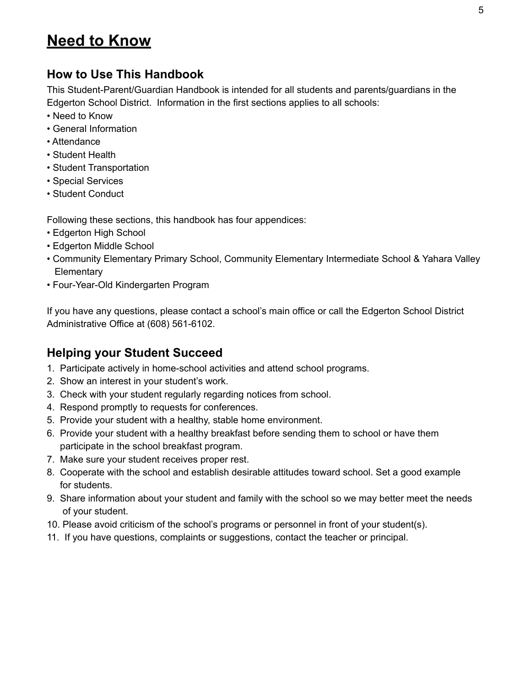## **Need to Know**

## **How to Use This Handbook**

This Student-Parent/Guardian Handbook is intended for all students and parents/guardians in the Edgerton School District. Information in the first sections applies to all schools:

- Need to Know
- General Information
- Attendance
- Student Health
- Student Transportation
- Special Services
- Student Conduct

Following these sections, this handbook has four appendices:

- Edgerton High School
- Edgerton Middle School
- Community Elementary Primary School, Community Elementary Intermediate School & Yahara Valley **Elementary**
- Four-Year-Old Kindergarten Program

If you have any questions, please contact a school's main office or call the Edgerton School District Administrative Office at (608) 561-6102.

## **Helping your Student Succeed**

- 1. Participate actively in home-school activities and attend school programs.
- 2. Show an interest in your student's work.
- 3. Check with your student regularly regarding notices from school.
- 4. Respond promptly to requests for conferences.
- 5. Provide your student with a healthy, stable home environment.
- 6. Provide your student with a healthy breakfast before sending them to school or have them participate in the school breakfast program.
- 7. Make sure your student receives proper rest.
- 8. Cooperate with the school and establish desirable attitudes toward school. Set a good example for students.
- 9. Share information about your student and family with the school so we may better meet the needs of your student.
- 10. Please avoid criticism of the school's programs or personnel in front of your student(s).
- 11. If you have questions, complaints or suggestions, contact the teacher or principal.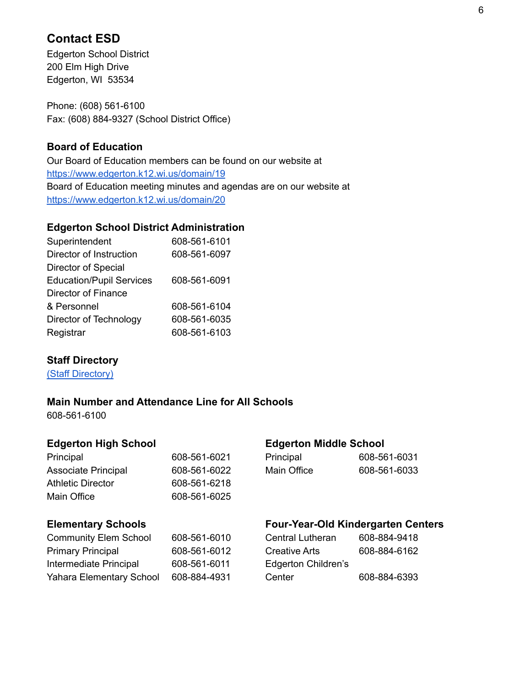## **Contact ESD**

Edgerton School District 200 Elm High Drive Edgerton, WI 53534

Phone: (608) 561-6100 Fax: (608) 884-9327 (School District Office)

#### **Board of Education**

Our Board of Education members can be found on our website at <https://www.edgerton.k12.wi.us/domain/19> Board of Education meeting minutes and agendas are on our website at <https://www.edgerton.k12.wi.us/domain/20>

#### **Edgerton School District Administration**

| Superintendent                  | 608-561-6101 |
|---------------------------------|--------------|
| Director of Instruction         | 608-561-6097 |
| Director of Special             |              |
| <b>Education/Pupil Services</b> | 608-561-6091 |
| Director of Finance             |              |
| & Personnel                     | 608-561-6104 |
| Director of Technology          | 608-561-6035 |
| Registrar                       | 608-561-6103 |
|                                 |              |

#### **Staff Directory**

(Staff [Directory\)](https://www.edgerton.k12.wi.us/domain/150)

#### **Main Number and Attendance Line for All Schools**

608-561-6100

| 608-561-6021 | Principal   | 608-561-6031 |
|--------------|-------------|--------------|
| 608-561-6022 | Main Office | 608-561-6033 |
| 608-561-6218 |             |              |
| 608-561-6025 |             |              |
|              |             |              |

#### **Edgerton High School Edgerton Middle School**

| Principal   | 608-561-6031 |
|-------------|--------------|
| Main Office | 608-561-6033 |

#### **Elementary Schools**

| <b>Four-Year-Old Kindergarten Centers</b> |  |
|-------------------------------------------|--|
|                                           |  |

| <b>Community Elem School</b>    | 608-561-6010 | <b>Central Lutheran</b> | 608-884-9418 |
|---------------------------------|--------------|-------------------------|--------------|
| <b>Primary Principal</b>        | 608-561-6012 | <b>Creative Arts</b>    | 608-884-6162 |
| Intermediate Principal          | 608-561-6011 | Edgerton Children's     |              |
| <b>Yahara Elementary School</b> | 608-884-4931 | Center                  | 608-884-6393 |

| Central Lutheran    | 608-884-9418 |
|---------------------|--------------|
| Creative Arts       | 608-884-6162 |
| Edgerton Children's |              |
| Center              | 608-884-6393 |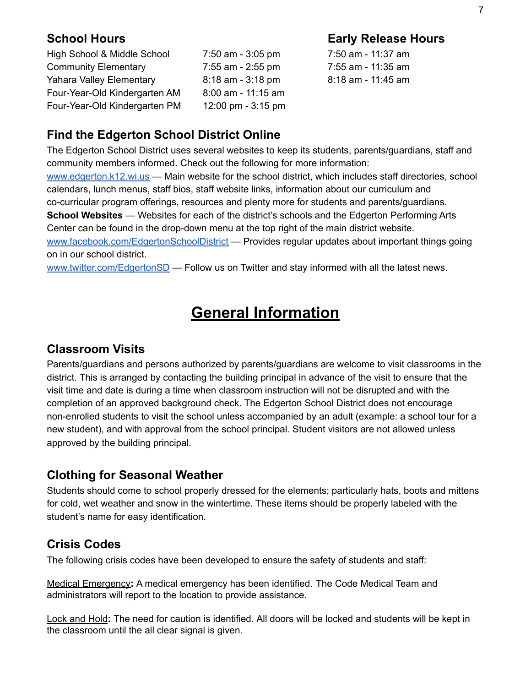**School Hours Early Release Hours**

High School & Middle School 7:50 am - 3:05 pm 7:50 am - 11:37 am Community Elementary 7:55 am - 2:55 pm 7:55 am - 11:35 am Yahara Valley Elementary 8:18 am - 3:18 pm 8:18 am - 11:45 am Four-Year-Old Kindergarten AM 8:00 am - 11:15 am Four-Year-Old Kindergarten PM 12:00 pm - 3:15 pm

## **Find the Edgerton School District Online**

The Edgerton School District uses several websites to keep its students, parents/guardians, staff and community members informed. Check out the following for more information:

[www.edgerton.k12.wi.us](http://www.edgerton.k12.wi.us) — Main website for the school district, which includes staff directories, school calendars, lunch menus, staff bios, staff website links, information about our curriculum and co-curricular program offerings, resources and plenty more for students and parents/guardians. **School Websites** — Websites for each of the district's schools and the Edgerton Performing Arts Center can be found in the drop-down menu at the top right of the main district website. [www.facebook.com/EdgertonSchoolDistrict](http://www.facebook.com/EdgertonSchoolDistrict) — Provides regular updates about important things going

on in our school district.

[www.twitter.com/EdgertonSD](http://www.twitter.com/EdgertonSD) — Follow us on Twitter and stay informed with all the latest news.

## **General Information**

### **Classroom Visits**

Parents/guardians and persons authorized by parents/guardians are welcome to visit classrooms in the district. This is arranged by contacting the building principal in advance of the visit to ensure that the visit time and date is during a time when classroom instruction will not be disrupted and with the completion of an approved background check. The Edgerton School District does not encourage non-enrolled students to visit the school unless accompanied by an adult (example: a school tour for a new student), and with approval from the school principal. Student visitors are not allowed unless approved by the building principal.

## **Clothing for Seasonal Weather**

Students should come to school properly dressed for the elements; particularly hats, boots and mittens for cold, wet weather and snow in the wintertime. These items should be properly labeled with the student's name for easy identification.

## **Crisis Codes**

The following crisis codes have been developed to ensure the safety of students and staff:

Medical Emergency**:** A medical emergency has been identified. The Code Medical Team and administrators will report to the location to provide assistance.

Lock and Hold**:** The need for caution is identified. All doors will be locked and students will be kept in the classroom until the all clear signal is given.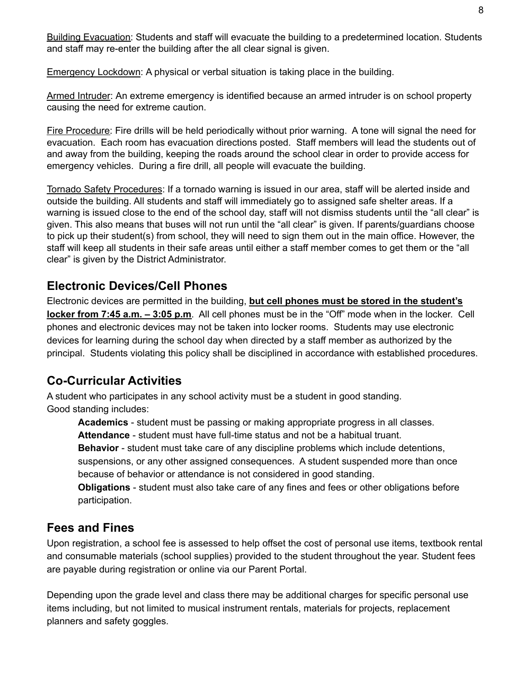Building Evacuation: Students and staff will evacuate the building to a predetermined location. Students and staff may re-enter the building after the all clear signal is given.

Emergency Lockdown: A physical or verbal situation is taking place in the building.

Armed Intruder: An extreme emergency is identified because an armed intruder is on school property causing the need for extreme caution.

Fire Procedure: Fire drills will be held periodically without prior warning. A tone will signal the need for evacuation. Each room has evacuation directions posted. Staff members will lead the students out of and away from the building, keeping the roads around the school clear in order to provide access for emergency vehicles. During a fire drill, all people will evacuate the building.

Tornado Safety Procedures: If a tornado warning is issued in our area, staff will be alerted inside and outside the building. All students and staff will immediately go to assigned safe shelter areas. If a warning is issued close to the end of the school day, staff will not dismiss students until the "all clear" is given. This also means that buses will not run until the "all clear" is given. If parents/guardians choose to pick up their student(s) from school, they will need to sign them out in the main office. However, the staff will keep all students in their safe areas until either a staff member comes to get them or the "all clear" is given by the District Administrator.

## **Electronic Devices/Cell Phones**

Electronic devices are permitted in the building, **but cell phones must be stored in the student's locker from 7:45 a.m. – 3:05 p.m**. All cell phones must be in the "Off" mode when in the locker. Cell phones and electronic devices may not be taken into locker rooms. Students may use electronic devices for learning during the school day when directed by a staff member as authorized by the principal. Students violating this policy shall be disciplined in accordance with established procedures.

## **Co-Curricular Activities**

A student who participates in any school activity must be a student in good standing. Good standing includes:

**Academics** - student must be passing or making appropriate progress in all classes. **Attendance** - student must have full-time status and not be a habitual truant.

**Behavior** - student must take care of any discipline problems which include detentions, suspensions, or any other assigned consequences. A student suspended more than once because of behavior or attendance is not considered in good standing.

**Obligations** - student must also take care of any fines and fees or other obligations before participation.

## **Fees and Fines**

Upon registration, a school fee is assessed to help offset the cost of personal use items, textbook rental and consumable materials (school supplies) provided to the student throughout the year. Student fees are payable during registration or online via our Parent Portal.

Depending upon the grade level and class there may be additional charges for specific personal use items including, but not limited to musical instrument rentals, materials for projects, replacement planners and safety goggles.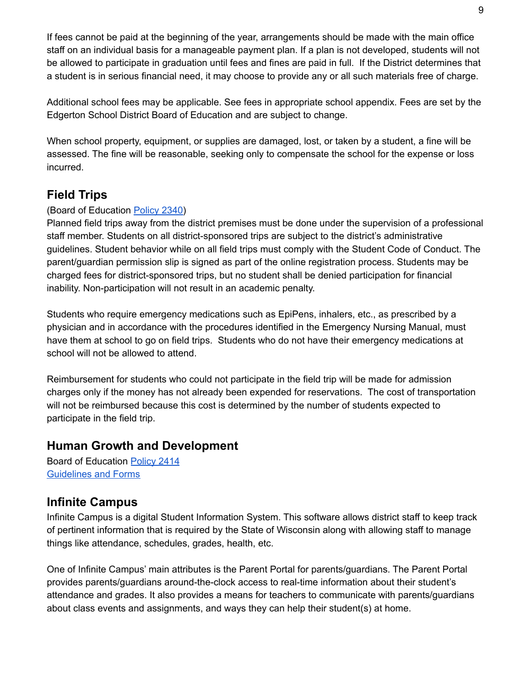If fees cannot be paid at the beginning of the year, arrangements should be made with the main office staff on an individual basis for a manageable payment plan. If a plan is not developed, students will not be allowed to participate in graduation until fees and fines are paid in full. If the District determines that a student is in serious financial need, it may choose to provide any or all such materials free of charge.

Additional school fees may be applicable. See fees in appropriate school appendix. Fees are set by the Edgerton School District Board of Education and are subject to change.

When school property, equipment, or supplies are damaged, lost, or taken by a student, a fine will be assessed. The fine will be reasonable, seeking only to compensate the school for the expense or loss incurred.

## **Field Trips**

#### (Board of Education [Policy](http://go.boarddocs.com/wi/edge/Board.nsf/goto?open&id=BMCM5G57CDC5) 2340)

Planned field trips away from the district premises must be done under the supervision of a professional staff member. Students on all district-sponsored trips are subject to the district's administrative guidelines. Student behavior while on all field trips must comply with the Student Code of Conduct. The parent/guardian permission slip is signed as part of the online registration process. Students may be charged fees for district-sponsored trips, but no student shall be denied participation for financial inability. Non-participation will not result in an academic penalty.

Students who require emergency medications such as EpiPens, inhalers, etc., as prescribed by a physician and in accordance with the procedures identified in the Emergency Nursing Manual, must have them at school to go on field trips. Students who do not have their emergency medications at school will not be allowed to attend.

Reimbursement for students who could not participate in the field trip will be made for admission charges only if the money has not already been expended for reservations. The cost of transportation will not be reimbursed because this cost is determined by the number of students expected to participate in the field trip.

#### **Human Growth and Development**

Board of Education [Policy](http://go.boarddocs.com/wi/edge/Board.nsf/goto?open&id=C8WK2H4F66F4) 2414 [Guidelines](https://www.edgerton.k12.wi.us/Page/1626) and Forms

## **Infinite Campus**

Infinite Campus is a digital Student Information System. This software allows district staff to keep track of pertinent information that is required by the State of Wisconsin along with allowing staff to manage things like attendance, schedules, grades, health, etc.

One of Infinite Campus' main attributes is the Parent Portal for parents/guardians. The Parent Portal provides parents/guardians around-the-clock access to real-time information about their student's attendance and grades. It also provides a means for teachers to communicate with parents/guardians about class events and assignments, and ways they can help their student(s) at home.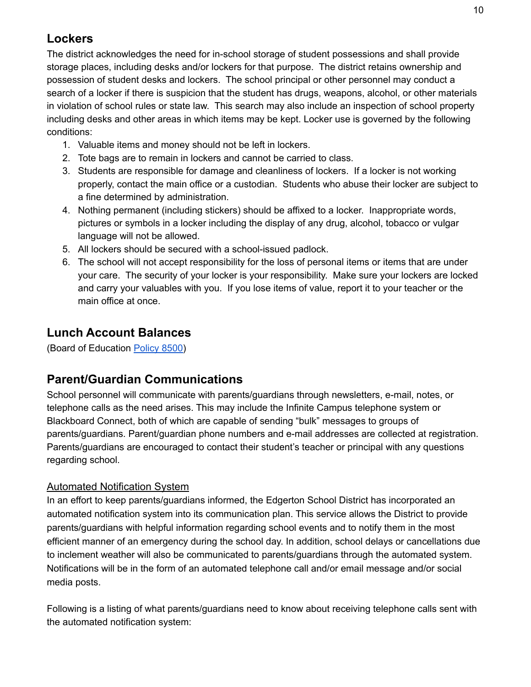## **Lockers**

The district acknowledges the need for in-school storage of student possessions and shall provide storage places, including desks and/or lockers for that purpose. The district retains ownership and possession of student desks and lockers. The school principal or other personnel may conduct a search of a locker if there is suspicion that the student has drugs, weapons, alcohol, or other materials in violation of school rules or state law. This search may also include an inspection of school property including desks and other areas in which items may be kept. Locker use is governed by the following conditions:

- 1. Valuable items and money should not be left in lockers.
- 2. Tote bags are to remain in lockers and cannot be carried to class.
- 3. Students are responsible for damage and cleanliness of lockers. If a locker is not working properly, contact the main office or a custodian. Students who abuse their locker are subject to a fine determined by administration.
- 4. Nothing permanent (including stickers) should be affixed to a locker. Inappropriate words, pictures or symbols in a locker including the display of any drug, alcohol, tobacco or vulgar language will not be allowed.
- 5. All lockers should be secured with a school-issued padlock.
- 6. The school will not accept responsibility for the loss of personal items or items that are under your care. The security of your locker is your responsibility. Make sure your lockers are locked and carry your valuables with you. If you lose items of value, report it to your teacher or the main office at once.

## **Lunch Account Balances**

(Board of Education [Policy](http://go.boarddocs.com/wi/edge/Board.nsf/goto?open&id=C8WK4A4F67F7) 8500)

## **Parent/Guardian Communications**

School personnel will communicate with parents/guardians through newsletters, e-mail, notes, or telephone calls as the need arises. This may include the Infinite Campus telephone system or Blackboard Connect, both of which are capable of sending "bulk" messages to groups of parents/guardians. Parent/guardian phone numbers and e-mail addresses are collected at registration. Parents/guardians are encouraged to contact their student's teacher or principal with any questions regarding school.

#### Automated Notification System

In an effort to keep parents/guardians informed, the Edgerton School District has incorporated an automated notification system into its communication plan. This service allows the District to provide parents/guardians with helpful information regarding school events and to notify them in the most efficient manner of an emergency during the school day. In addition, school delays or cancellations due to inclement weather will also be communicated to parents/guardians through the automated system. Notifications will be in the form of an automated telephone call and/or email message and/or social media posts.

Following is a listing of what parents/guardians need to know about receiving telephone calls sent with the automated notification system: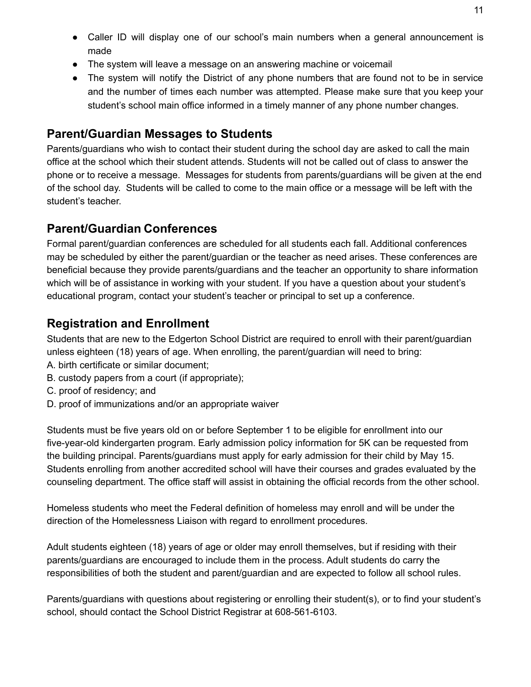- Caller ID will display one of our school's main numbers when a general announcement is made
- The system will leave a message on an answering machine or voicemail
- The system will notify the District of any phone numbers that are found not to be in service and the number of times each number was attempted. Please make sure that you keep your student's school main office informed in a timely manner of any phone number changes.

### **Parent/Guardian Messages to Students**

Parents/guardians who wish to contact their student during the school day are asked to call the main office at the school which their student attends. Students will not be called out of class to answer the phone or to receive a message. Messages for students from parents/guardians will be given at the end of the school day. Students will be called to come to the main office or a message will be left with the student's teacher.

## **Parent/Guardian Conferences**

Formal parent/guardian conferences are scheduled for all students each fall. Additional conferences may be scheduled by either the parent/guardian or the teacher as need arises. These conferences are beneficial because they provide parents/guardians and the teacher an opportunity to share information which will be of assistance in working with your student. If you have a question about your student's educational program, contact your student's teacher or principal to set up a conference.

## **Registration and Enrollment**

Students that are new to the Edgerton School District are required to enroll with their parent/guardian unless eighteen (18) years of age. When enrolling, the parent/guardian will need to bring:

- A. birth certificate or similar document;
- B. custody papers from a court (if appropriate);
- C. proof of residency; and
- D. proof of immunizations and/or an appropriate waiver

Students must be five years old on or before September 1 to be eligible for enrollment into our five-year-old kindergarten program. Early admission policy information for 5K can be requested from the building principal. Parents/guardians must apply for early admission for their child by May 15. Students enrolling from another accredited school will have their courses and grades evaluated by the counseling department. The office staff will assist in obtaining the official records from the other school.

Homeless students who meet the Federal definition of homeless may enroll and will be under the direction of the Homelessness Liaison with regard to enrollment procedures.

Adult students eighteen (18) years of age or older may enroll themselves, but if residing with their parents/guardians are encouraged to include them in the process. Adult students do carry the responsibilities of both the student and parent/guardian and are expected to follow all school rules.

Parents/guardians with questions about registering or enrolling their student(s), or to find your student's school, should contact the School District Registrar at 608-561-6103.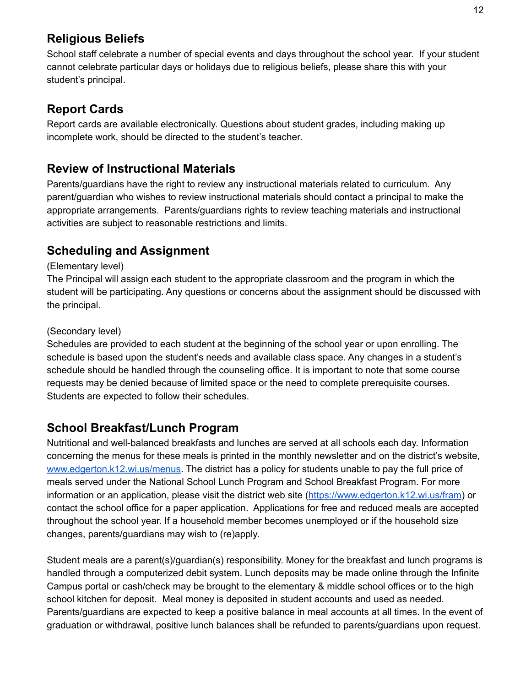## **Religious Beliefs**

School staff celebrate a number of special events and days throughout the school year. If your student cannot celebrate particular days or holidays due to religious beliefs, please share this with your student's principal.

## **Report Cards**

Report cards are available electronically. Questions about student grades, including making up incomplete work, should be directed to the student's teacher.

## **Review of Instructional Materials**

Parents/guardians have the right to review any instructional materials related to curriculum. Any parent/guardian who wishes to review instructional materials should contact a principal to make the appropriate arrangements. Parents/guardians rights to review teaching materials and instructional activities are subject to reasonable restrictions and limits.

## **Scheduling and Assignment**

#### (Elementary level)

The Principal will assign each student to the appropriate classroom and the program in which the student will be participating. Any questions or concerns about the assignment should be discussed with the principal.

#### (Secondary level)

Schedules are provided to each student at the beginning of the school year or upon enrolling. The schedule is based upon the student's needs and available class space. Any changes in a student's schedule should be handled through the counseling office. It is important to note that some course requests may be denied because of limited space or the need to complete prerequisite courses. Students are expected to follow their schedules.

## **School Breakfast/Lunch Program**

Nutritional and well-balanced breakfasts and lunches are served at all schools each day. Information concerning the menus for these meals is printed in the monthly newsletter and on the district's website, [www.edgerton.k12.wi.us/menus.](https://www.edgerton.k12.wi.us/menus) The district has a policy for students unable to pay the full price of meals served under the National School Lunch Program and School Breakfast Program. For more information or an application, please visit the district web site (<https://www.edgerton.k12.wi.us/fram>) or contact the school office for a paper application. Applications for free and reduced meals are accepted throughout the school year. If a household member becomes unemployed or if the household size changes, parents/guardians may wish to (re)apply.

Student meals are a parent(s)/guardian(s) responsibility. Money for the breakfast and lunch programs is handled through a computerized debit system. Lunch deposits may be made online through the Infinite Campus portal or cash/check may be brought to the elementary & middle school offices or to the high school kitchen for deposit. Meal money is deposited in student accounts and used as needed. Parents/guardians are expected to keep a positive balance in meal accounts at all times. In the event of graduation or withdrawal, positive lunch balances shall be refunded to parents/guardians upon request.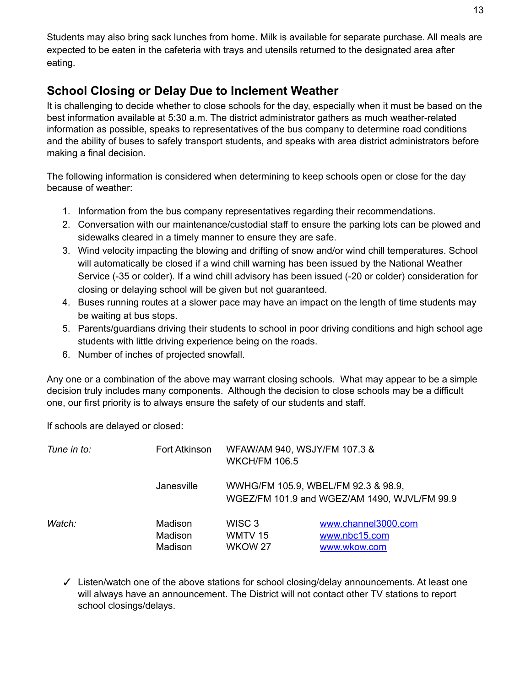Students may also bring sack lunches from home. Milk is available for separate purchase. All meals are expected to be eaten in the cafeteria with trays and utensils returned to the designated area after eating.

## **School Closing or Delay Due to Inclement Weather**

It is challenging to decide whether to close schools for the day, especially when it must be based on the best information available at 5:30 a.m. The district administrator gathers as much weather-related information as possible, speaks to representatives of the bus company to determine road conditions and the ability of buses to safely transport students, and speaks with area district administrators before making a final decision.

The following information is considered when determining to keep schools open or close for the day because of weather:

- 1. Information from the bus company representatives regarding their recommendations.
- 2. Conversation with our maintenance/custodial staff to ensure the parking lots can be plowed and sidewalks cleared in a timely manner to ensure they are safe.
- 3. Wind velocity impacting the blowing and drifting of snow and/or wind chill temperatures. School will automatically be closed if a wind chill warning has been issued by the National Weather Service (-35 or colder). If a wind chill advisory has been issued (-20 or colder) consideration for closing or delaying school will be given but not guaranteed.
- 4. Buses running routes at a slower pace may have an impact on the length of time students may be waiting at bus stops.
- 5. Parents/guardians driving their students to school in poor driving conditions and high school age students with little driving experience being on the roads.
- 6. Number of inches of projected snowfall.

Any one or a combination of the above may warrant closing schools. What may appear to be a simple decision truly includes many components. Although the decision to close schools may be a difficult one, our first priority is to always ensure the safety of our students and staff.

If schools are delayed or closed:

| Tune in to: | Fort Atkinson                 | WFAW/AM 940, WSJY/FM 107.3 &<br><b>WKCH/FM 106.5</b> |                                                      |
|-------------|-------------------------------|------------------------------------------------------|------------------------------------------------------|
|             | Janesville                    | WWHG/FM 105.9, WBEL/FM 92.3 & 98.9,                  | WGEZ/FM 101.9 and WGEZ/AM 1490, WJVL/FM 99.9         |
| Watch:      | Madison<br>Madison<br>Madison | WISC 3<br>WMTV 15<br>WKOW 27                         | www.channel3000.com<br>www.nbc15.com<br>www.wkow.com |

✓ Listen/watch one of the above stations for school closing/delay announcements. At least one will always have an announcement. The District will not contact other TV stations to report school closings/delays.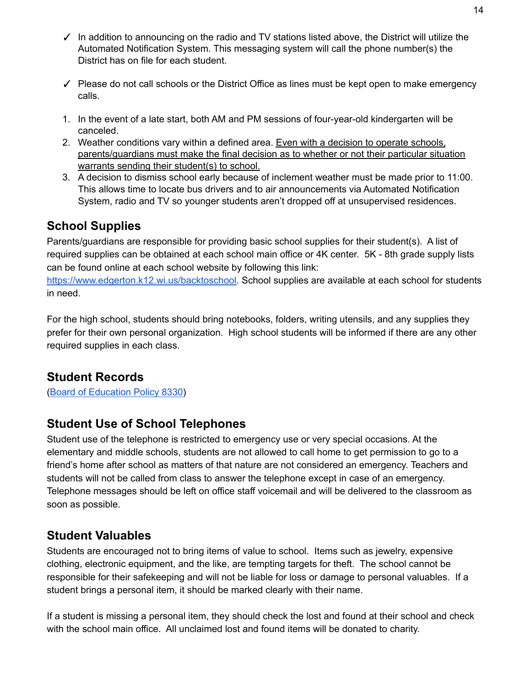- ✓ In addition to announcing on the radio and TV stations listed above, the District will utilize the Automated Notification System. This messaging system will call the phone number(s) the District has on file for each student.
- $\checkmark$  Please do not call schools or the District Office as lines must be kept open to make emergency calls.
- 1. In the event of a late start, both AM and PM sessions of four-year-old kindergarten will be canceled.
- 2. Weather conditions vary within a defined area. Even with a decision to operate schools, parents/guardians must make the final decision as to whether or not their particular situation warrants sending their student(s) to school.
- 3. A decision to dismiss school early because of inclement weather must be made prior to 11:00. This allows time to locate bus drivers and to air announcements via Automated Notification System, radio and TV so younger students aren't dropped off at unsupervised residences.

## **School Supplies**

Parents/guardians are responsible for providing basic school supplies for their student(s). A list of required supplies can be obtained at each school main office or 4K center. 5K - 8th grade supply lists can be found online at each school website by following this link:

[https://www.edgerton.k12.wi.us/backtoschool.](https://www.edgerton.k12.wi.us/backtoschool) School supplies are available at each school for students in need.

For the high school, students should bring notebooks, folders, writing utensils, and any supplies they prefer for their own personal organization. High school students will be informed if there are any other required supplies in each class.

## **Student Records**

(Board of [Education](http://go.boarddocs.com/wi/edge/Board.nsf/goto?open&id=C8WK484F67EF) Policy 8330)

## **Student Use of School Telephones**

Student use of the telephone is restricted to emergency use or very special occasions. At the elementary and middle schools, students are not allowed to call home to get permission to go to a friend's home after school as matters of that nature are not considered an emergency. Teachers and students will not be called from class to answer the telephone except in case of an emergency. Telephone messages should be left on office staff voicemail and will be delivered to the classroom as soon as possible.

## **Student Valuables**

Students are encouraged not to bring items of value to school. Items such as jewelry, expensive clothing, electronic equipment, and the like, are tempting targets for theft. The school cannot be responsible for their safekeeping and will not be liable for loss or damage to personal valuables. If a student brings a personal item, it should be marked clearly with their name.

If a student is missing a personal item, they should check the lost and found at their school and check with the school main office. All unclaimed lost and found items will be donated to charity.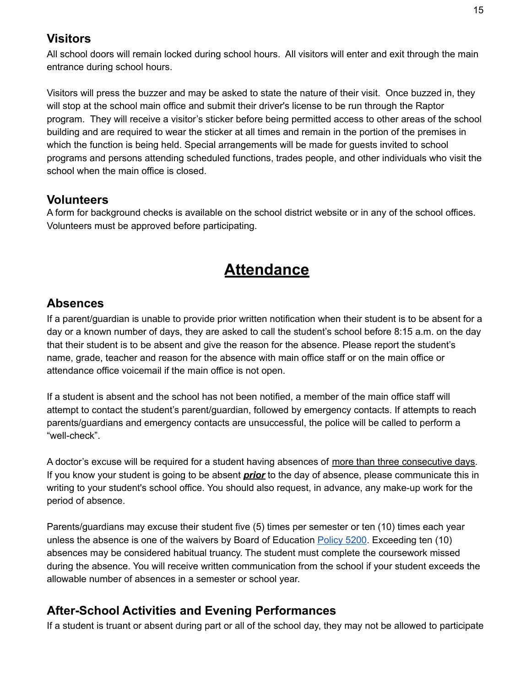## **Visitors**

All school doors will remain locked during school hours. All visitors will enter and exit through the main entrance during school hours.

Visitors will press the buzzer and may be asked to state the nature of their visit. Once buzzed in, they will stop at the school main office and submit their driver's license to be run through the Raptor program. They will receive a visitor's sticker before being permitted access to other areas of the school building and are required to wear the sticker at all times and remain in the portion of the premises in which the function is being held. Special arrangements will be made for guests invited to school programs and persons attending scheduled functions, trades people, and other individuals who visit the school when the main office is closed.

#### **Volunteers**

A form for background checks is available on the school district website or in any of the school offices. Volunteers must be approved before participating.

## **Attendance**

## **Absences**

If a parent/guardian is unable to provide prior written notification when their student is to be absent for a day or a known number of days, they are asked to call the student's school before 8:15 a.m. on the day that their student is to be absent and give the reason for the absence. Please report the student's name, grade, teacher and reason for the absence with main office staff or on the main office or attendance office voicemail if the main office is not open.

If a student is absent and the school has not been notified, a member of the main office staff will attempt to contact the student's parent/guardian, followed by emergency contacts. If attempts to reach parents/guardians and emergency contacts are unsuccessful, the police will be called to perform a "well-check".

A doctor's excuse will be required for a student having absences of more than three consecutive days. If you know your student is going to be absent *prior* to the day of absence, please communicate this in writing to your student's school office. You should also request, in advance, any make-up work for the period of absence.

Parents/guardians may excuse their student five (5) times per semester or ten (10) times each year unless the absence is one of the waivers by Board of Education [Policy](http://go.boarddocs.com/wi/edge/Board.nsf/goto?open&id=C3ZLTU53CC75) 5200. Exceeding ten (10) absences may be considered habitual truancy. The student must complete the coursework missed during the absence. You will receive written communication from the school if your student exceeds the allowable number of absences in a semester or school year.

## **After-School Activities and Evening Performances**

If a student is truant or absent during part or all of the school day, they may not be allowed to participate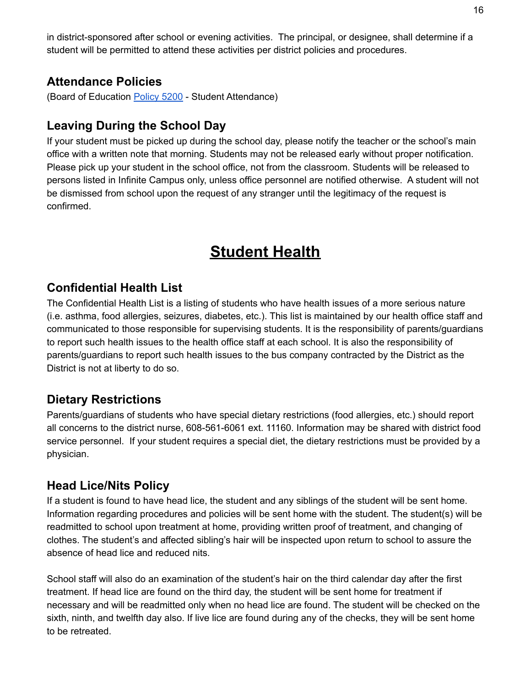in district-sponsored after school or evening activities. The principal, or designee, shall determine if a student will be permitted to attend these activities per district policies and procedures.

#### **Attendance Policies**

(Board of Education [Policy](http://go.boarddocs.com/wi/edge/Board.nsf/goto?open&id=C3ZLTU53CC75) 5200 - Student Attendance)

### **Leaving During the School Day**

If your student must be picked up during the school day, please notify the teacher or the school's main office with a written note that morning. Students may not be released early without proper notification. Please pick up your student in the school office, not from the classroom. Students will be released to persons listed in Infinite Campus only, unless office personnel are notified otherwise. A student will not be dismissed from school upon the request of any stranger until the legitimacy of the request is confirmed.

## **Student Health**

#### **Confidential Health List**

The Confidential Health List is a listing of students who have health issues of a more serious nature (i.e. asthma, food allergies, seizures, diabetes, etc.). This list is maintained by our health office staff and communicated to those responsible for supervising students. It is the responsibility of parents/guardians to report such health issues to the health office staff at each school. It is also the responsibility of parents/guardians to report such health issues to the bus company contracted by the District as the District is not at liberty to do so.

#### **Dietary Restrictions**

Parents/guardians of students who have special dietary restrictions (food allergies, etc.) should report all concerns to the district nurse, 608-561-6061 ext. 11160. Information may be shared with district food service personnel. If your student requires a special diet, the dietary restrictions must be provided by a physician.

#### **Head Lice/Nits Policy**

If a student is found to have head lice, the student and any siblings of the student will be sent home. Information regarding procedures and policies will be sent home with the student. The student(s) will be readmitted to school upon treatment at home, providing written proof of treatment, and changing of clothes. The student's and affected sibling's hair will be inspected upon return to school to assure the absence of head lice and reduced nits.

School staff will also do an examination of the student's hair on the third calendar day after the first treatment. If head lice are found on the third day, the student will be sent home for treatment if necessary and will be readmitted only when no head lice are found. The student will be checked on the sixth, ninth, and twelfth day also. If live lice are found during any of the checks, they will be sent home to be retreated.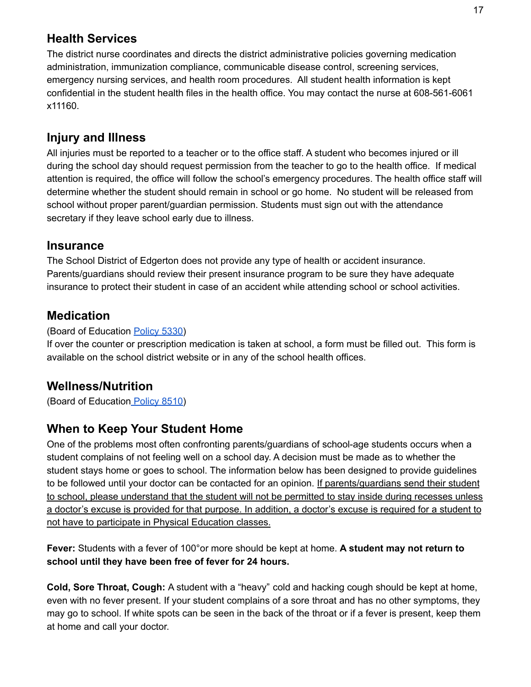## **Health Services**

The district nurse coordinates and directs the district administrative policies governing medication administration, immunization compliance, communicable disease control, screening services, emergency nursing services, and health room procedures. All student health information is kept confidential in the student health files in the health office. You may contact the nurse at 608-561-6061 x11160.

## **Injury and Illness**

All injuries must be reported to a teacher or to the office staff. A student who becomes injured or ill during the school day should request permission from the teacher to go to the health office. If medical attention is required, the office will follow the school's emergency procedures. The health office staff will determine whether the student should remain in school or go home. No student will be released from school without proper parent/guardian permission. Students must sign out with the attendance secretary if they leave school early due to illness.

#### **Insurance**

The School District of Edgerton does not provide any type of health or accident insurance. Parents/guardians should review their present insurance program to be sure they have adequate insurance to protect their student in case of an accident while attending school or school activities.

## **Medication**

#### (Board of Education [Policy](http://go.boarddocs.com/wi/edge/Board.nsf/goto?open&id=C3ZLTV53CC7A) 5330)

If over the counter or prescription medication is taken at school, a form must be filled out. This form is available on the school district website or in any of the school health offices.

## **Wellness/Nutrition**

(Board of Education [Policy](http://go.boarddocs.com/wi/edge/Board.nsf/goto?open&id=BFXLGX548657) 8510)

## **When to Keep Your Student Home**

One of the problems most often confronting parents/guardians of school-age students occurs when a student complains of not feeling well on a school day. A decision must be made as to whether the student stays home or goes to school. The information below has been designed to provide guidelines to be followed until your doctor can be contacted for an opinion. If parents/guardians send their student to school, please understand that the student will not be permitted to stay inside during recesses unless a doctor's excuse is provided for that purpose. In addition, a doctor's excuse is required for a student to not have to participate in Physical Education classes.

**Fever:** Students with a fever of 100°or more should be kept at home. **A student may not return to school until they have been free of fever for 24 hours.**

**Cold, Sore Throat, Cough:** A student with a "heavy" cold and hacking cough should be kept at home, even with no fever present. If your student complains of a sore throat and has no other symptoms, they may go to school. If white spots can be seen in the back of the throat or if a fever is present, keep them at home and call your doctor.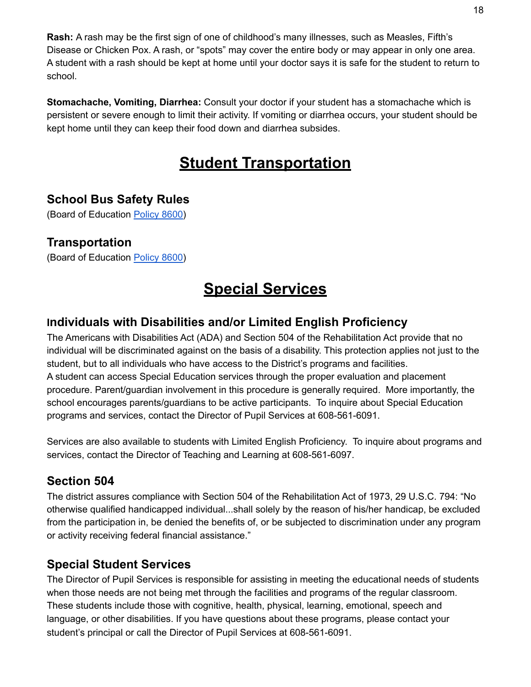**Rash:** A rash may be the first sign of one of childhood's many illnesses, such as Measles, Fifth's Disease or Chicken Pox. A rash, or "spots" may cover the entire body or may appear in only one area. A student with a rash should be kept at home until your doctor says it is safe for the student to return to school.

**Stomachache, Vomiting, Diarrhea:** Consult your doctor if your student has a stomachache which is persistent or severe enough to limit their activity. If vomiting or diarrhea occurs, your student should be kept home until they can keep their food down and diarrhea subsides.

## **Student Transportation**

## **School Bus Safety Rules**

(Board of Education [Policy](http://go.boarddocs.com/wi/edge/Board.nsf/goto?open&id=C7XL3K5499E1) 8600)

#### **Transportation**

(Board of Education [Policy](http://go.boarddocs.com/wi/edge/Board.nsf/goto?open&id=C7XL3K5499E1) 8600)

## **Special Services**

## **Individuals with Disabilities and/or Limited English Proficiency**

The Americans with Disabilities Act (ADA) and Section 504 of the Rehabilitation Act provide that no individual will be discriminated against on the basis of a disability. This protection applies not just to the student, but to all individuals who have access to the District's programs and facilities. A student can access Special Education services through the proper evaluation and placement procedure. Parent/guardian involvement in this procedure is generally required. More importantly, the school encourages parents/guardians to be active participants. To inquire about Special Education programs and services, contact the Director of Pupil Services at 608-561-6091.

Services are also available to students with Limited English Proficiency. To inquire about programs and services, contact the Director of Teaching and Learning at 608-561-6097.

## **Section 504**

The district assures compliance with Section 504 of the Rehabilitation Act of 1973, 29 U.S.C. 794: "No otherwise qualified handicapped individual...shall solely by the reason of his/her handicap, be excluded from the participation in, be denied the benefits of, or be subjected to discrimination under any program or activity receiving federal financial assistance."

## **Special Student Services**

The Director of Pupil Services is responsible for assisting in meeting the educational needs of students when those needs are not being met through the facilities and programs of the regular classroom. These students include those with cognitive, health, physical, learning, emotional, speech and language, or other disabilities. If you have questions about these programs, please contact your student's principal or call the Director of Pupil Services at 608-561-6091.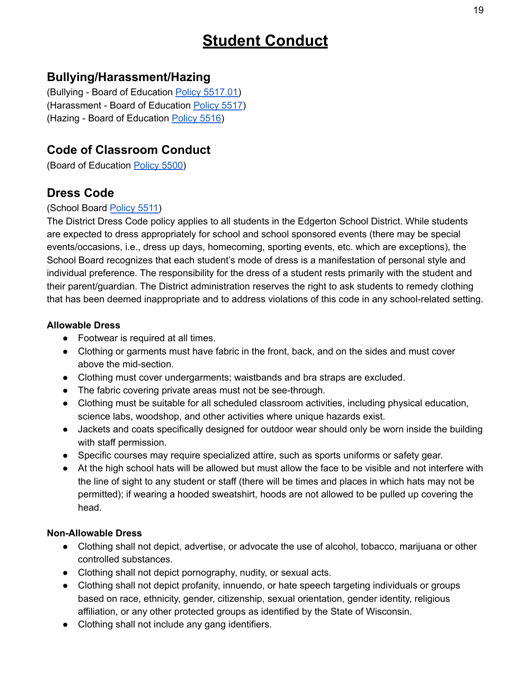## **Student Conduct**

## **Bullying/Harassment/Hazing**

(Bullying - Board of Education Policy [5517.01\)](http://go.boarddocs.com/wi/edge/Board.nsf/goto?open&id=C3ZLU353CC91) (Harassment - Board of Education [Policy](http://go.boarddocs.com/wi/edge/Board.nsf/goto?open&id=C8WK3K4F6794) 5517) (Hazing - Board of Education [Policy](http://go.boarddocs.com/wi/edge/Board.nsf/goto?open&id=BFXLDF548466) 5516)

## **Code of Classroom Conduct**

(Board of Education [Policy](http://go.boarddocs.com/wi/edge/Board.nsf/goto?open&id=BFXLDA548451) 5500)

## **Dress Code**

#### (School Board [Policy](http://go.boarddocs.com/wi/edge/Board.nsf/goto?open&id=C8WK3G4F6787) 5511)

The District Dress Code policy applies to all students in the Edgerton School District. While students are expected to dress appropriately for school and school sponsored events (there may be special events/occasions, i.e., dress up days, homecoming, sporting events, etc. which are exceptions), the School Board recognizes that each student's mode of dress is a manifestation of personal style and individual preference. The responsibility for the dress of a student rests primarily with the student and their parent/guardian. The District administration reserves the right to ask students to remedy clothing that has been deemed inappropriate and to address violations of this code in any school-related setting.

#### **Allowable Dress**

- Footwear is required at all times.
- Clothing or garments must have fabric in the front, back, and on the sides and must cover above the mid-section.
- Clothing must cover undergarments; waistbands and bra straps are excluded.
- The fabric covering private areas must not be see-through.
- Clothing must be suitable for all scheduled classroom activities, including physical education, science labs, woodshop, and other activities where unique hazards exist.
- Jackets and coats specifically designed for outdoor wear should only be worn inside the building with staff permission.
- Specific courses may require specialized attire, such as sports uniforms or safety gear.
- At the high school hats will be allowed but must allow the face to be visible and not interfere with the line of sight to any student or staff (there will be times and places in which hats may not be permitted); if wearing a hooded sweatshirt, hoods are not allowed to be pulled up covering the head.

#### **Non-Allowable Dress**

- Clothing shall not depict, advertise, or advocate the use of alcohol, tobacco, marijuana or other controlled substances.
- Clothing shall not depict pornography, nudity, or sexual acts.
- Clothing shall not depict profanity, innuendo, or hate speech targeting individuals or groups based on race, ethnicity, gender, citizenship, sexual orientation, gender identity, religious affiliation, or any other protected groups as identified by the State of Wisconsin.
- Clothing shall not include any gang identifiers.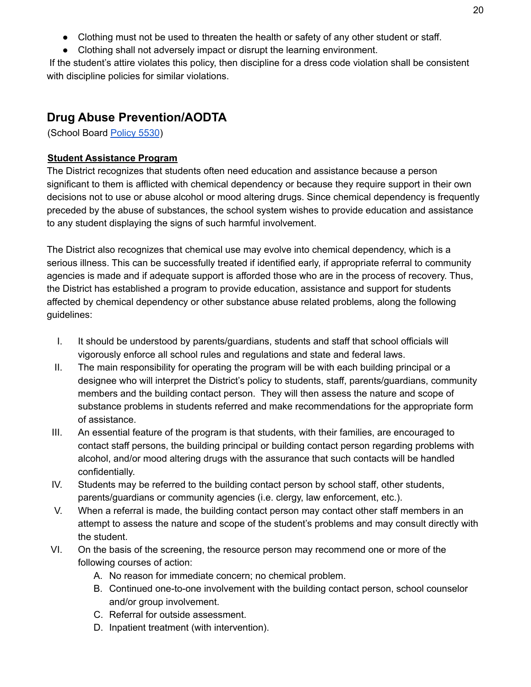- Clothing must not be used to threaten the health or safety of any other student or staff.
- Clothing shall not adversely impact or disrupt the learning environment.

If the student's attire violates this policy, then discipline for a dress code violation shall be consistent with discipline policies for similar violations.

## **Drug Abuse Prevention/AODTA**

(School Board [Policy](http://go.boarddocs.com/wi/edge/Board.nsf/goto?open&id=BFXLDK548478) 5530)

#### **Student Assistance Program**

The District recognizes that students often need education and assistance because a person significant to them is afflicted with chemical dependency or because they require support in their own decisions not to use or abuse alcohol or mood altering drugs. Since chemical dependency is frequently preceded by the abuse of substances, the school system wishes to provide education and assistance to any student displaying the signs of such harmful involvement.

The District also recognizes that chemical use may evolve into chemical dependency, which is a serious illness. This can be successfully treated if identified early, if appropriate referral to community agencies is made and if adequate support is afforded those who are in the process of recovery. Thus, the District has established a program to provide education, assistance and support for students affected by chemical dependency or other substance abuse related problems, along the following guidelines:

- I. It should be understood by parents/guardians, students and staff that school officials will vigorously enforce all school rules and regulations and state and federal laws.
- II. The main responsibility for operating the program will be with each building principal or a designee who will interpret the District's policy to students, staff, parents/guardians, community members and the building contact person. They will then assess the nature and scope of substance problems in students referred and make recommendations for the appropriate form of assistance.
- III. An essential feature of the program is that students, with their families, are encouraged to contact staff persons, the building principal or building contact person regarding problems with alcohol, and/or mood altering drugs with the assurance that such contacts will be handled confidentially.
- IV. Students may be referred to the building contact person by school staff, other students, parents/guardians or community agencies (i.e. clergy, law enforcement, etc.).
- V. When a referral is made, the building contact person may contact other staff members in an attempt to assess the nature and scope of the student's problems and may consult directly with the student.
- VI. On the basis of the screening, the resource person may recommend one or more of the following courses of action:
	- A. No reason for immediate concern; no chemical problem.
	- B. Continued one-to-one involvement with the building contact person, school counselor and/or group involvement.
	- C. Referral for outside assessment.
	- D. Inpatient treatment (with intervention).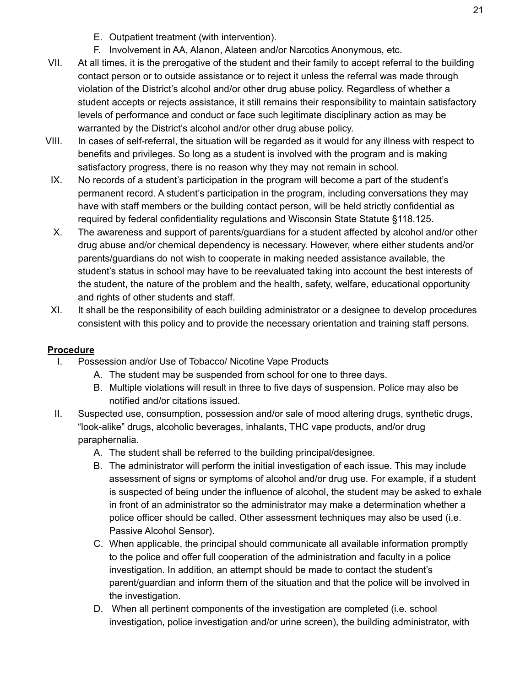- E. Outpatient treatment (with intervention).
- F. Involvement in AA, Alanon, Alateen and/or Narcotics Anonymous, etc.
- VII. At all times, it is the prerogative of the student and their family to accept referral to the building contact person or to outside assistance or to reject it unless the referral was made through violation of the District's alcohol and/or other drug abuse policy. Regardless of whether a student accepts or rejects assistance, it still remains their responsibility to maintain satisfactory levels of performance and conduct or face such legitimate disciplinary action as may be warranted by the District's alcohol and/or other drug abuse policy.
- VIII. In cases of self-referral, the situation will be regarded as it would for any illness with respect to benefits and privileges. So long as a student is involved with the program and is making satisfactory progress, there is no reason why they may not remain in school.
- IX. No records of a student's participation in the program will become a part of the student's permanent record. A student's participation in the program, including conversations they may have with staff members or the building contact person, will be held strictly confidential as required by federal confidentiality regulations and Wisconsin State Statute §118.125.
- X. The awareness and support of parents/guardians for a student affected by alcohol and/or other drug abuse and/or chemical dependency is necessary. However, where either students and/or parents/guardians do not wish to cooperate in making needed assistance available, the student's status in school may have to be reevaluated taking into account the best interests of the student, the nature of the problem and the health, safety, welfare, educational opportunity and rights of other students and staff.
- XI. It shall be the responsibility of each building administrator or a designee to develop procedures consistent with this policy and to provide the necessary orientation and training staff persons.

#### **Procedure**

- I. Possession and/or Use of Tobacco/ Nicotine Vape Products
	- A. The student may be suspended from school for one to three days.
	- B. Multiple violations will result in three to five days of suspension. Police may also be notified and/or citations issued.
- II. Suspected use, consumption, possession and/or sale of mood altering drugs, synthetic drugs, "look-alike" drugs, alcoholic beverages, inhalants, THC vape products, and/or drug paraphernalia.
	- A. The student shall be referred to the building principal/designee.
	- B. The administrator will perform the initial investigation of each issue. This may include assessment of signs or symptoms of alcohol and/or drug use. For example, if a student is suspected of being under the influence of alcohol, the student may be asked to exhale in front of an administrator so the administrator may make a determination whether a police officer should be called. Other assessment techniques may also be used (i.e. Passive Alcohol Sensor).
	- C. When applicable, the principal should communicate all available information promptly to the police and offer full cooperation of the administration and faculty in a police investigation. In addition, an attempt should be made to contact the student's parent/guardian and inform them of the situation and that the police will be involved in the investigation.
	- D. When all pertinent components of the investigation are completed (i.e. school investigation, police investigation and/or urine screen), the building administrator, with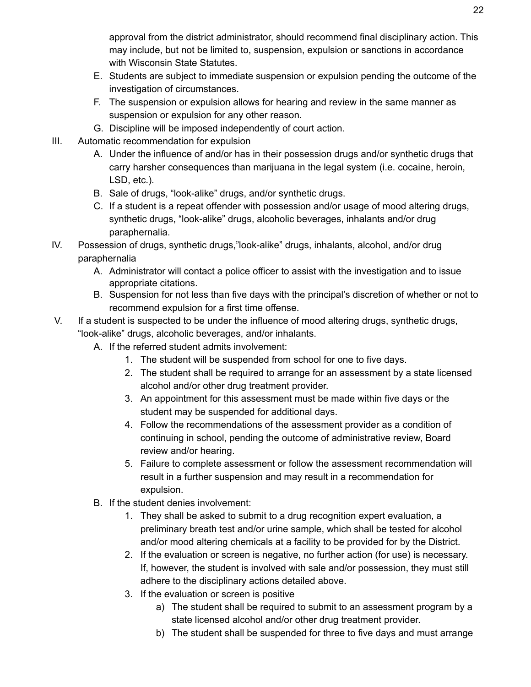approval from the district administrator, should recommend final disciplinary action. This may include, but not be limited to, suspension, expulsion or sanctions in accordance with Wisconsin State Statutes.

- E. Students are subject to immediate suspension or expulsion pending the outcome of the investigation of circumstances.
- F. The suspension or expulsion allows for hearing and review in the same manner as suspension or expulsion for any other reason.
- G. Discipline will be imposed independently of court action.
- III. Automatic recommendation for expulsion
	- A. Under the influence of and/or has in their possession drugs and/or synthetic drugs that carry harsher consequences than marijuana in the legal system (i.e. cocaine, heroin, LSD, etc.).
	- B. Sale of drugs, "look-alike" drugs, and/or synthetic drugs.
	- C. If a student is a repeat offender with possession and/or usage of mood altering drugs, synthetic drugs, "look-alike" drugs, alcoholic beverages, inhalants and/or drug paraphernalia.
- IV. Possession of drugs, synthetic drugs,"look-alike" drugs, inhalants, alcohol, and/or drug paraphernalia
	- A. Administrator will contact a police officer to assist with the investigation and to issue appropriate citations.
	- B. Suspension for not less than five days with the principal's discretion of whether or not to recommend expulsion for a first time offense.
- V. If a student is suspected to be under the influence of mood altering drugs, synthetic drugs, "look-alike" drugs, alcoholic beverages, and/or inhalants.
	- A. If the referred student admits involvement:
		- 1. The student will be suspended from school for one to five days.
		- 2. The student shall be required to arrange for an assessment by a state licensed alcohol and/or other drug treatment provider.
		- 3. An appointment for this assessment must be made within five days or the student may be suspended for additional days.
		- 4. Follow the recommendations of the assessment provider as a condition of continuing in school, pending the outcome of administrative review, Board review and/or hearing.
		- 5. Failure to complete assessment or follow the assessment recommendation will result in a further suspension and may result in a recommendation for expulsion.
	- B. If the student denies involvement:
		- 1. They shall be asked to submit to a drug recognition expert evaluation, a preliminary breath test and/or urine sample, which shall be tested for alcohol and/or mood altering chemicals at a facility to be provided for by the District.
		- 2. If the evaluation or screen is negative, no further action (for use) is necessary. If, however, the student is involved with sale and/or possession, they must still adhere to the disciplinary actions detailed above.
		- 3. If the evaluation or screen is positive
			- a) The student shall be required to submit to an assessment program by a state licensed alcohol and/or other drug treatment provider.
			- b) The student shall be suspended for three to five days and must arrange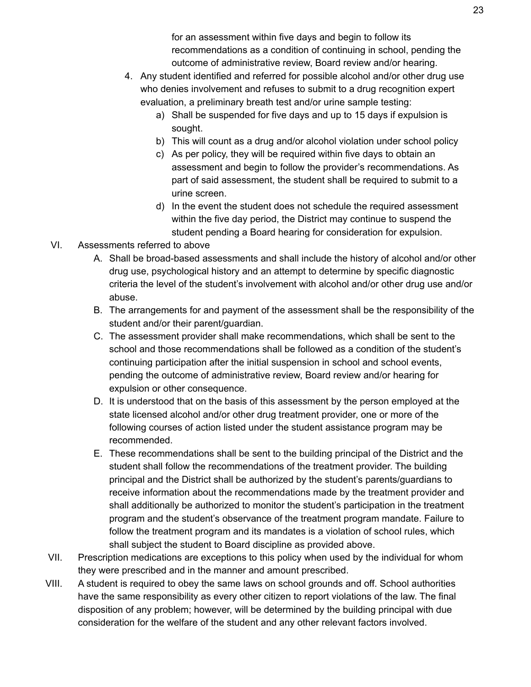for an assessment within five days and begin to follow its recommendations as a condition of continuing in school, pending the outcome of administrative review, Board review and/or hearing.

- 4. Any student identified and referred for possible alcohol and/or other drug use who denies involvement and refuses to submit to a drug recognition expert evaluation, a preliminary breath test and/or urine sample testing:
	- a) Shall be suspended for five days and up to 15 days if expulsion is sought.
	- b) This will count as a drug and/or alcohol violation under school policy
	- c) As per policy, they will be required within five days to obtain an assessment and begin to follow the provider's recommendations. As part of said assessment, the student shall be required to submit to a urine screen.
	- d) In the event the student does not schedule the required assessment within the five day period, the District may continue to suspend the student pending a Board hearing for consideration for expulsion.
- VI. Assessments referred to above
	- A. Shall be broad-based assessments and shall include the history of alcohol and/or other drug use, psychological history and an attempt to determine by specific diagnostic criteria the level of the student's involvement with alcohol and/or other drug use and/or abuse.
	- B. The arrangements for and payment of the assessment shall be the responsibility of the student and/or their parent/guardian.
	- C. The assessment provider shall make recommendations, which shall be sent to the school and those recommendations shall be followed as a condition of the student's continuing participation after the initial suspension in school and school events, pending the outcome of administrative review, Board review and/or hearing for expulsion or other consequence.
	- D. It is understood that on the basis of this assessment by the person employed at the state licensed alcohol and/or other drug treatment provider, one or more of the following courses of action listed under the student assistance program may be recommended.
	- E. These recommendations shall be sent to the building principal of the District and the student shall follow the recommendations of the treatment provider. The building principal and the District shall be authorized by the student's parents/guardians to receive information about the recommendations made by the treatment provider and shall additionally be authorized to monitor the student's participation in the treatment program and the student's observance of the treatment program mandate. Failure to follow the treatment program and its mandates is a violation of school rules, which shall subject the student to Board discipline as provided above.
- VII. Prescription medications are exceptions to this policy when used by the individual for whom they were prescribed and in the manner and amount prescribed.
- VIII. A student is required to obey the same laws on school grounds and off. School authorities have the same responsibility as every other citizen to report violations of the law. The final disposition of any problem; however, will be determined by the building principal with due consideration for the welfare of the student and any other relevant factors involved.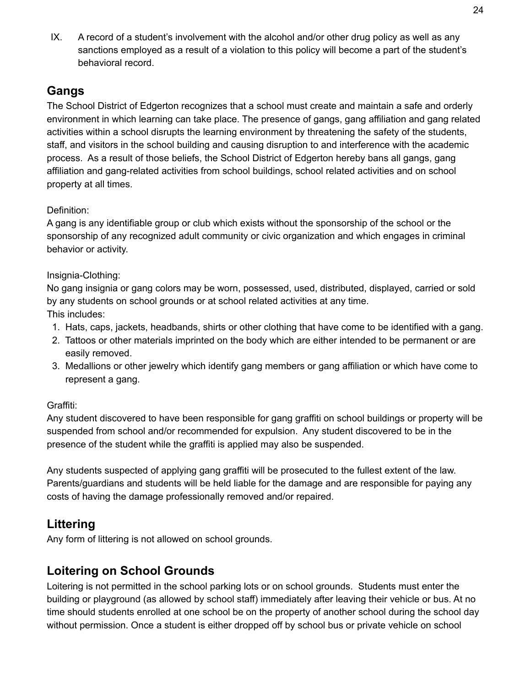IX. A record of a student's involvement with the alcohol and/or other drug policy as well as any sanctions employed as a result of a violation to this policy will become a part of the student's behavioral record.

## **Gangs**

The School District of Edgerton recognizes that a school must create and maintain a safe and orderly environment in which learning can take place. The presence of gangs, gang affiliation and gang related activities within a school disrupts the learning environment by threatening the safety of the students, staff, and visitors in the school building and causing disruption to and interference with the academic process. As a result of those beliefs, the School District of Edgerton hereby bans all gangs, gang affiliation and gang-related activities from school buildings, school related activities and on school property at all times.

#### Definition:

A gang is any identifiable group or club which exists without the sponsorship of the school or the sponsorship of any recognized adult community or civic organization and which engages in criminal behavior or activity.

#### Insignia-Clothing:

No gang insignia or gang colors may be worn, possessed, used, distributed, displayed, carried or sold by any students on school grounds or at school related activities at any time. This includes:

- 1. Hats, caps, jackets, headbands, shirts or other clothing that have come to be identified with a gang.
- 2. Tattoos or other materials imprinted on the body which are either intended to be permanent or are easily removed.
- 3. Medallions or other jewelry which identify gang members or gang affiliation or which have come to represent a gang.

#### Graffiti:

Any student discovered to have been responsible for gang graffiti on school buildings or property will be suspended from school and/or recommended for expulsion. Any student discovered to be in the presence of the student while the graffiti is applied may also be suspended.

Any students suspected of applying gang graffiti will be prosecuted to the fullest extent of the law. Parents/guardians and students will be held liable for the damage and are responsible for paying any costs of having the damage professionally removed and/or repaired.

## **Littering**

Any form of littering is not allowed on school grounds.

## **Loitering on School Grounds**

Loitering is not permitted in the school parking lots or on school grounds. Students must enter the building or playground (as allowed by school staff) immediately after leaving their vehicle or bus. At no time should students enrolled at one school be on the property of another school during the school day without permission. Once a student is either dropped off by school bus or private vehicle on school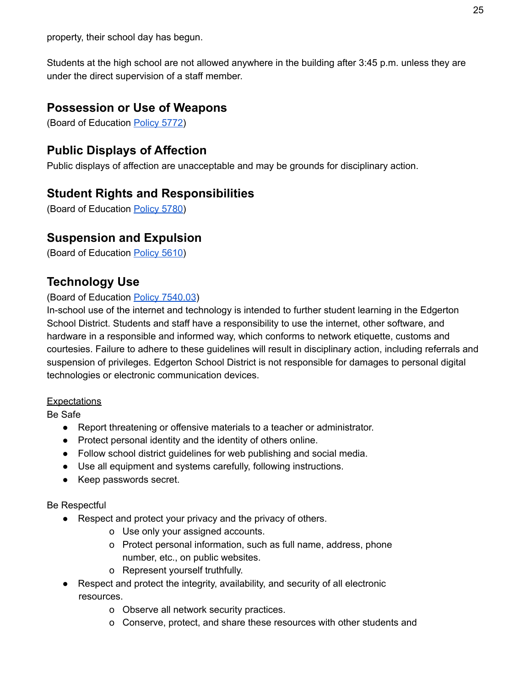property, their school day has begun.

Students at the high school are not allowed anywhere in the building after 3:45 p.m. unless they are under the direct supervision of a staff member.

#### **Possession or Use of Weapons**

(Board of Education [Policy](http://go.boarddocs.com/wi/edge/Board.nsf/goto?open&id=C8WK3Q4F67AA) 5772)

#### **Public Displays of Affection**

Public displays of affection are unacceptable and may be grounds for disciplinary action.

#### **Student Rights and Responsibilities**

(Board of Education [Policy](http://go.boarddocs.com/wi/edge/Board.nsf/goto?open&id=BFXLDY5484C6) 5780)

#### **Suspension and Expulsion**

(Board of Education [Policy](http://go.boarddocs.com/wi/edge/Board.nsf/goto?open&id=BFXLDN548488) 5610)

## **Technology Use**

#### (Board of Education Policy [7540.03](http://go.boarddocs.com/wi/edge/Board.nsf/goto?open&id=C3ZLUM53CCD9))

In-school use of the internet and technology is intended to further student learning in the Edgerton School District. Students and staff have a responsibility to use the internet, other software, and hardware in a responsible and informed way, which conforms to network etiquette, customs and courtesies. Failure to adhere to these guidelines will result in disciplinary action, including referrals and suspension of privileges. Edgerton School District is not responsible for damages to personal digital technologies or electronic communication devices.

#### **Expectations**

Be Safe

- Report threatening or offensive materials to a teacher or administrator.
- Protect personal identity and the identity of others online.
- Follow school district guidelines for web publishing and social media.
- Use all equipment and systems carefully, following instructions.
- Keep passwords secret.

#### Be Respectful

- Respect and protect your privacy and the privacy of others.
	- o Use only your assigned accounts.
	- o Protect personal information, such as full name, address, phone number, etc., on public websites.
	- o Represent yourself truthfully.
- Respect and protect the integrity, availability, and security of all electronic resources.
	- o Observe all network security practices.
	- o Conserve, protect, and share these resources with other students and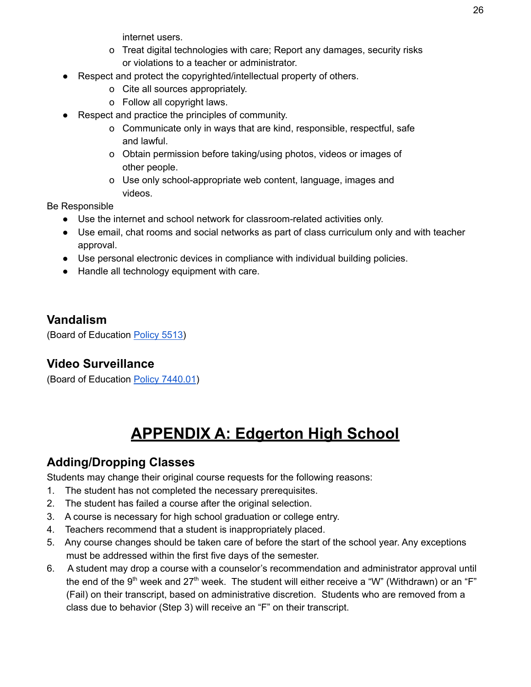internet users.

- o Treat digital technologies with care; Report any damages, security risks or violations to a teacher or administrator.
- Respect and protect the copyrighted/intellectual property of others.
	- o Cite all sources appropriately.
	- o Follow all copyright laws.
- Respect and practice the principles of community.
	- o Communicate only in ways that are kind, responsible, respectful, safe and lawful.
	- o Obtain permission before taking/using photos, videos or images of other people.
	- o Use only school-appropriate web content, language, images and videos.

Be Responsible

- Use the internet and school network for classroom-related activities only.
- Use email, chat rooms and social networks as part of class curriculum only and with teacher approval.
- Use personal electronic devices in compliance with individual building policies.
- Handle all technology equipment with care.

## **Vandalism**

(Board of Education [Policy](http://go.boarddocs.com/wi/edge/Board.nsf/goto?open&id=C8WK3J4F678F) 5513)

## **Video Surveillance**

(Board of Education Policy [7440.01](http://go.boarddocs.com/wi/edge/Board.nsf/goto?open&id=C8WK444F67DE))

## **APPENDIX A: Edgerton High School**

## **Adding/Dropping Classes**

Students may change their original course requests for the following reasons:

- 1. The student has not completed the necessary prerequisites.
- 2. The student has failed a course after the original selection.
- 3. A course is necessary for high school graduation or college entry.
- 4. Teachers recommend that a student is inappropriately placed.
- 5. Any course changes should be taken care of before the start of the school year. Any exceptions must be addressed within the first five days of the semester.
- 6. A student may drop a course with a counselor's recommendation and administrator approval until the end of the 9<sup>th</sup> week and 27<sup>th</sup> week. The student will either receive a "W" (Withdrawn) or an "F" (Fail) on their transcript, based on administrative discretion. Students who are removed from a class due to behavior (Step 3) will receive an "F" on their transcript.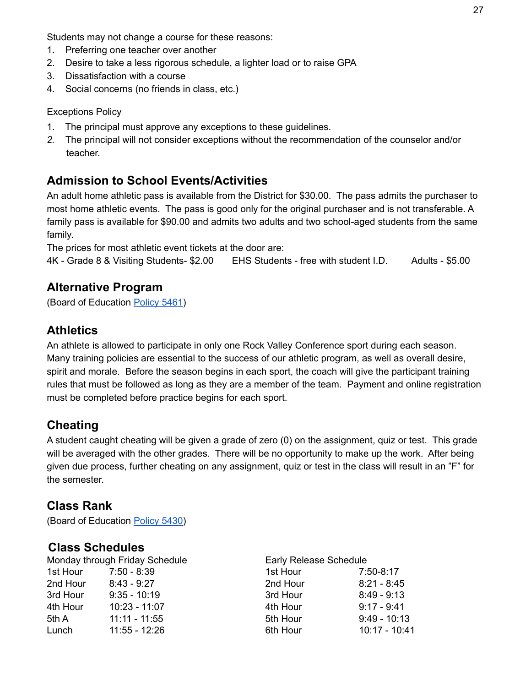Students may not change a course for these reasons:

- 1. Preferring one teacher over another
- 2. Desire to take a less rigorous schedule, a lighter load or to raise GPA
- 3. Dissatisfaction with a course
- 4. Social concerns (no friends in class, etc.)

Exceptions Policy

- 1. The principal must approve any exceptions to these guidelines.
- *2.* The principal will not consider exceptions without the recommendation of the counselor and/or teacher.

## **Admission to School Events/Activities**

An adult home athletic pass is available from the District for \$30.00. The pass admits the purchaser to most home athletic events. The pass is good only for the original purchaser and is not transferable. A family pass is available for \$90.00 and admits two adults and two school-aged students from the same family.

The prices for most athletic event tickets at the door are:

4K - Grade 8 & Visiting Students- \$2.00 EHS Students - free with student I.D. Adults - \$5.00

#### **Alternative Program**

(Board of Education [Policy](http://go.boarddocs.com/wi/edge/Board.nsf/goto?open&id=C3ZLTY53CC86) 5461)

## **Athletics**

An athlete is allowed to participate in only one Rock Valley Conference sport during each season. Many training policies are essential to the success of our athletic program, as well as overall desire, spirit and morale. Before the season begins in each sport, the coach will give the participant training rules that must be followed as long as they are a member of the team. Payment and online registration must be completed before practice begins for each sport.

## **Cheating**

A student caught cheating will be given a grade of zero (0) on the assignment, quiz or test. This grade will be averaged with the other grades. There will be no opportunity to make up the work. After being given due process, further cheating on any assignment, quiz or test in the class will result in an "F" for the semester.

#### **Class Rank**

(Board of Education [Policy](http://go.boarddocs.com/wi/edge/Board.nsf/goto?open&id=BFXLCZ54842A) 5430)

#### **Class Schedules**

| Monday through Friday Schedule |                 | Early Release Schedule |                 |  |
|--------------------------------|-----------------|------------------------|-----------------|--|
| 1st Hour                       | $7:50 - 8:39$   | 1st Hour               | $7:50-8:17$     |  |
| 2nd Hour                       | $8:43 - 9:27$   | 2nd Hour               | $8:21 - 8:45$   |  |
| 3rd Hour                       | $9:35 - 10:19$  | 3rd Hour               | $8:49 - 9:13$   |  |
| 4th Hour                       | $10:23 - 11:07$ | 4th Hour               | $9:17 - 9:41$   |  |
| 5th A                          | $11:11 - 11:55$ | 5th Hour               | $9:49 - 10:13$  |  |
| Lunch                          | $11:55 - 12:26$ | 6th Hour               | $10:17 - 10:41$ |  |

| <b>Early Release Schedule</b> |                |  |
|-------------------------------|----------------|--|
| 1st Hour                      | 7:50-8:17      |  |
| 2nd Hour                      | $8:21 - 8:45$  |  |
| 3rd Hour                      | $8:49 - 9:13$  |  |
| 4th Hour                      | $9:17 - 9:41$  |  |
| 5th Hour                      | $9:49 - 10:13$ |  |
| 6th Hour                      | 10:17 - 10:41  |  |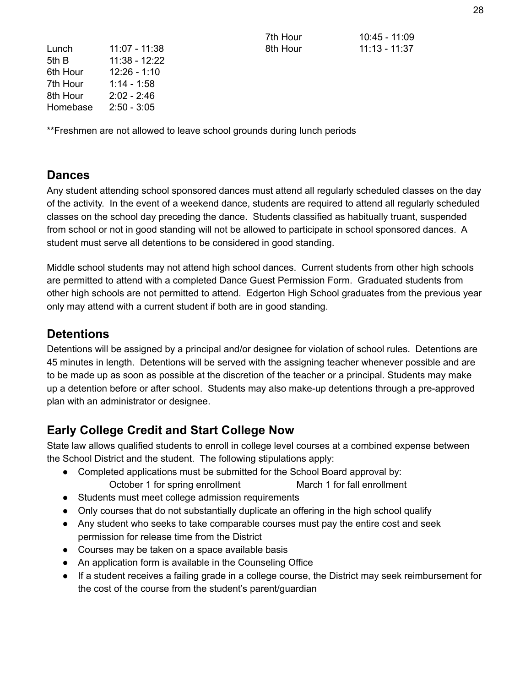| Lunch    | 11:07 - 11:38 |
|----------|---------------|
| 5th B    | 11:38 - 12:22 |
| 6th Hour | 12:26 - 1:10  |
| 7th Hour | $1:14 - 1:58$ |
| 8th Hour | $2:02 - 2:46$ |
| Homebase | $2:50 - 3:05$ |

7th Hour 10:45 - 11:09 8th Hour 11:13 - 11:37

\*\*Freshmen are not allowed to leave school grounds during lunch periods

#### **Dances**

Any student attending school sponsored dances must attend all regularly scheduled classes on the day of the activity. In the event of a weekend dance, students are required to attend all regularly scheduled classes on the school day preceding the dance. Students classified as habitually truant, suspended from school or not in good standing will not be allowed to participate in school sponsored dances. A student must serve all detentions to be considered in good standing.

Middle school students may not attend high school dances. Current students from other high schools are permitted to attend with a completed Dance Guest Permission Form. Graduated students from other high schools are not permitted to attend. Edgerton High School graduates from the previous year only may attend with a current student if both are in good standing.

## **Detentions**

Detentions will be assigned by a principal and/or designee for violation of school rules. Detentions are 45 minutes in length. Detentions will be served with the assigning teacher whenever possible and are to be made up as soon as possible at the discretion of the teacher or a principal. Students may make up a detention before or after school. Students may also make-up detentions through a pre-approved plan with an administrator or designee.

## **Early College Credit and Start College Now**

State law allows qualified students to enroll in college level courses at a combined expense between the School District and the student. The following stipulations apply:

- Completed applications must be submitted for the School Board approval by: October 1 for spring enrollment March 1 for fall enrollment
- Students must meet college admission requirements
- Only courses that do not substantially duplicate an offering in the high school qualify
- Any student who seeks to take comparable courses must pay the entire cost and seek permission for release time from the District
- Courses may be taken on a space available basis
- An application form is available in the Counseling Office
- If a student receives a failing grade in a college course, the District may seek reimbursement for the cost of the course from the student's parent/guardian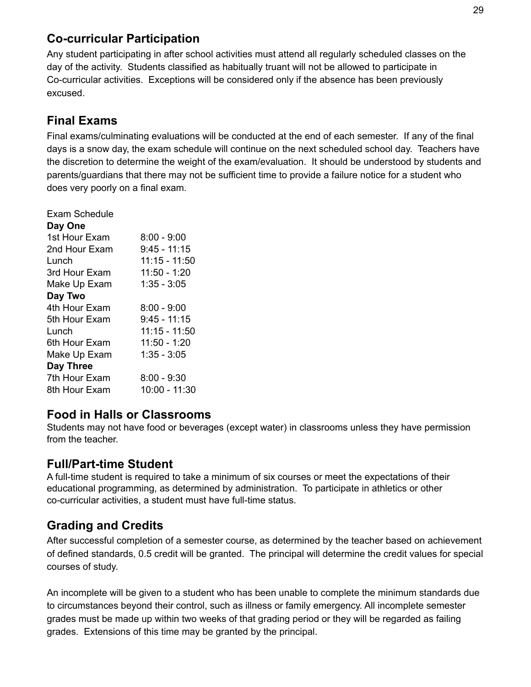## **Co-curricular Participation**

Any student participating in after school activities must attend all regularly scheduled classes on the day of the activity. Students classified as habitually truant will not be allowed to participate in Co-curricular activities. Exceptions will be considered only if the absence has been previously excused.

## **Final Exams**

Final exams/culminating evaluations will be conducted at the end of each semester. If any of the final days is a snow day, the exam schedule will continue on the next scheduled school day. Teachers have the discretion to determine the weight of the exam/evaluation. It should be understood by students and parents/guardians that there may not be sufficient time to provide a failure notice for a student who does very poorly on a final exam.

| Exam Schedule |                 |
|---------------|-----------------|
| Day One       |                 |
| 1st Hour Exam | $8:00 - 9:00$   |
| 2nd Hour Exam | $9:45 - 11:15$  |
| Lunch         | 11:15 - 11:50   |
| 3rd Hour Exam | $11:50 - 1:20$  |
| Make Up Exam  | $1:35 - 3:05$   |
| Day Two       |                 |
| 4th Hour Exam | $8:00 - 9:00$   |
| 5th Hour Exam | $9:45 - 11:15$  |
| Lunch         | $11:15 - 11:50$ |
| 6th Hour Exam | 11:50 - 1:20    |
| Make Up Exam  | $1:35 - 3:05$   |
| Day Three     |                 |
| 7th Hour Exam | $8:00 - 9:30$   |
| 8th Hour Exam | 10:00 - 11:30   |
|               |                 |

#### **Food in Halls or Classrooms**

Students may not have food or beverages (except water) in classrooms unless they have permission from the teacher.

## **Full/Part-time Student**

A full-time student is required to take a minimum of six courses or meet the expectations of their educational programming, as determined by administration. To participate in athletics or other co-curricular activities, a student must have full-time status.

## **Grading and Credits**

After successful completion of a semester course, as determined by the teacher based on achievement of defined standards, 0.5 credit will be granted. The principal will determine the credit values for special courses of study.

An incomplete will be given to a student who has been unable to complete the minimum standards due to circumstances beyond their control, such as illness or family emergency. All incomplete semester grades must be made up within two weeks of that grading period or they will be regarded as failing grades. Extensions of this time may be granted by the principal.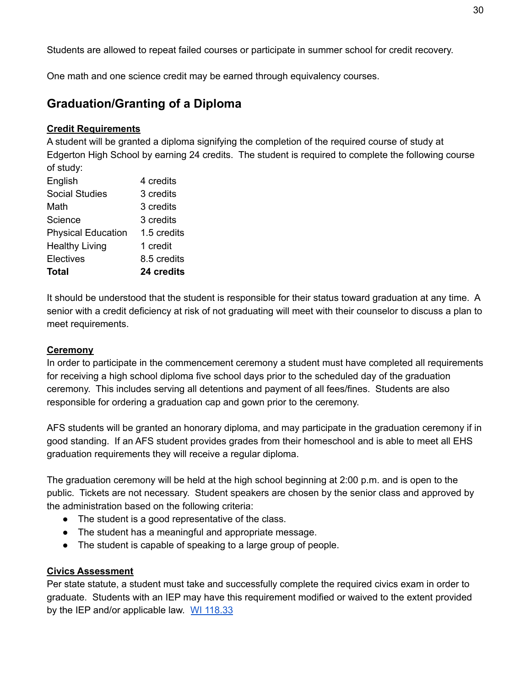Students are allowed to repeat failed courses or participate in summer school for credit recovery.

One math and one science credit may be earned through equivalency courses.

## **Graduation/Granting of a Diploma**

#### **Credit Requirements**

A student will be granted a diploma signifying the completion of the required course of study at Edgerton High School by earning 24 credits. The student is required to complete the following course of study:

| Total                     | 24 credits  |
|---------------------------|-------------|
| <b>Electives</b>          | 8.5 credits |
| <b>Healthy Living</b>     | 1 credit    |
| <b>Physical Education</b> | 1.5 credits |
| Science                   | 3 credits   |
| Math                      | 3 credits   |
| <b>Social Studies</b>     | 3 credits   |
| English                   | 4 credits   |
|                           |             |

It should be understood that the student is responsible for their status toward graduation at any time. A senior with a credit deficiency at risk of not graduating will meet with their counselor to discuss a plan to meet requirements.

#### **Ceremony**

In order to participate in the commencement ceremony a student must have completed all requirements for receiving a high school diploma five school days prior to the scheduled day of the graduation ceremony. This includes serving all detentions and payment of all fees/fines. Students are also responsible for ordering a graduation cap and gown prior to the ceremony.

AFS students will be granted an honorary diploma, and may participate in the graduation ceremony if in good standing. If an AFS student provides grades from their homeschool and is able to meet all EHS graduation requirements they will receive a regular diploma.

The graduation ceremony will be held at the high school beginning at 2:00 p.m. and is open to the public. Tickets are not necessary. Student speakers are chosen by the senior class and approved by the administration based on the following criteria:

- The student is a good representative of the class.
- The student has a meaningful and appropriate message.
- The student is capable of speaking to a large group of people.

#### **Civics Assessment**

Per state statute, a student must take and successfully complete the required civics exam in order to graduate. Students with an IEP may have this requirement modified or waived to the extent provided by the IEP and/or applicable law. WI [118.33](https://docs.legis.wisconsin.gov/statutes/statutes/118/33/1)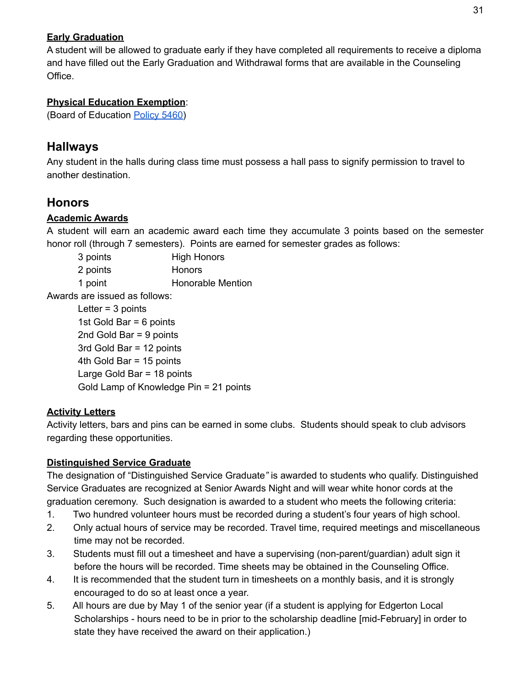#### **Early Graduation**

A student will be allowed to graduate early if they have completed all requirements to receive a diploma and have filled out the Early Graduation and Withdrawal forms that are available in the Counseling Office.

#### **Physical Education Exemption**:

(Board of Education [Policy](http://go.boarddocs.com/wi/edge/Board.nsf/goto?open&id=C3ZLTX53CC82) 5460)

## **Hallways**

Any student in the halls during class time must possess a hall pass to signify permission to travel to another destination.

## **Honors**

#### **Academic Awards**

A student will earn an academic award each time they accumulate 3 points based on the semester honor roll (through 7 semesters). Points are earned for semester grades as follows:

| 3 points | <b>High Honors</b>       |
|----------|--------------------------|
| 2 points | <b>Honors</b>            |
| 1 point  | <b>Honorable Mention</b> |

Awards are issued as follows:

Letter = 3 points 1st Gold Bar = 6 points 2nd Gold Bar = 9 points 3rd Gold Bar = 12 points 4th Gold Bar = 15 points Large Gold Bar = 18 points Gold Lamp of Knowledge Pin = 21 points

#### **Activity Letters**

Activity letters, bars and pins can be earned in some clubs. Students should speak to club advisors regarding these opportunities.

#### **Distinguished Service Graduate**

The designation of "Distinguished Service Graduate*"* is awarded to students who qualify. Distinguished Service Graduates are recognized at Senior Awards Night and will wear white honor cords at the graduation ceremony. Such designation is awarded to a student who meets the following criteria:

- 1. Two hundred volunteer hours must be recorded during a student's four years of high school.
- 2. Only actual hours of service may be recorded. Travel time, required meetings and miscellaneous time may not be recorded.
- 3. Students must fill out a timesheet and have a supervising (non-parent/guardian) adult sign it before the hours will be recorded. Time sheets may be obtained in the Counseling Office.
- 4. It is recommended that the student turn in timesheets on a monthly basis, and it is strongly encouraged to do so at least once a year.
- 5. All hours are due by May 1 of the senior year (if a student is applying for Edgerton Local Scholarships - hours need to be in prior to the scholarship deadline [mid-February] in order to state they have received the award on their application.)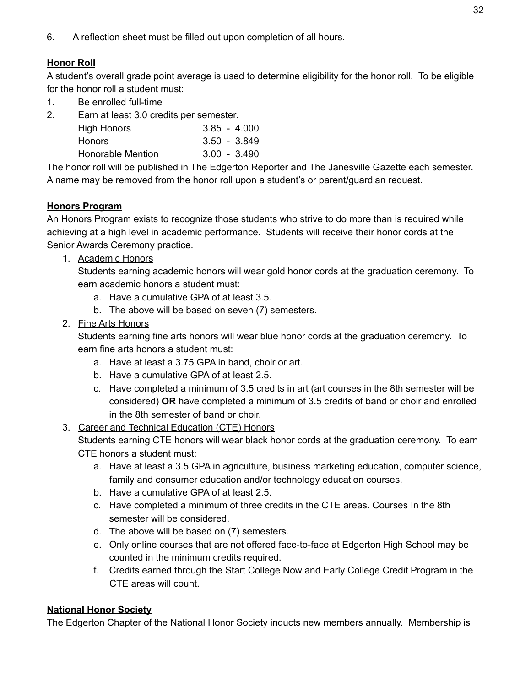6. A reflection sheet must be filled out upon completion of all hours.

#### **Honor Roll**

A student's overall grade point average is used to determine eligibility for the honor roll. To be eligible for the honor roll a student must:

- 1. Be enrolled full-time
- 2. Earn at least 3.0 credits per semester.

| <b>High Honors</b> |  | $3.85 - 4.000$ |
|--------------------|--|----------------|
| <b>Honors</b>      |  | $3.50 - 3.849$ |
| Honorable Mention  |  | $3.00 - 3.490$ |

The honor roll will be published in The Edgerton Reporter and The Janesville Gazette each semester. A name may be removed from the honor roll upon a student's or parent/guardian request.

#### **Honors Program**

An Honors Program exists to recognize those students who strive to do more than is required while achieving at a high level in academic performance. Students will receive their honor cords at the Senior Awards Ceremony practice.

1. Academic Honors

Students earning academic honors will wear gold honor cords at the graduation ceremony. To earn academic honors a student must:

- a. Have a cumulative GPA of at least 3.5.
- b. The above will be based on seven (7) semesters.
- 2. Fine Arts Honors

Students earning fine arts honors will wear blue honor cords at the graduation ceremony. To earn fine arts honors a student must:

- a. Have at least a 3.75 GPA in band, choir or art.
- b. Have a cumulative GPA of at least 2.5.
- c. Have completed a minimum of 3.5 credits in art (art courses in the 8th semester will be considered) **OR** have completed a minimum of 3.5 credits of band or choir and enrolled in the 8th semester of band or choir.

#### 3. Career and Technical Education (CTE) Honors

Students earning CTE honors will wear black honor cords at the graduation ceremony. To earn CTE honors a student must:

- a. Have at least a 3.5 GPA in agriculture, business marketing education, computer science, family and consumer education and/or technology education courses.
- b. Have a cumulative GPA of at least 2.5.
- c. Have completed a minimum of three credits in the CTE areas. Courses In the 8th semester will be considered.
- d. The above will be based on (7) semesters.
- e. Only online courses that are not offered face-to-face at Edgerton High School may be counted in the minimum credits required.
- f. Credits earned through the Start College Now and Early College Credit Program in the CTE areas will count.

#### **National Honor Society**

The Edgerton Chapter of the National Honor Society inducts new members annually. Membership is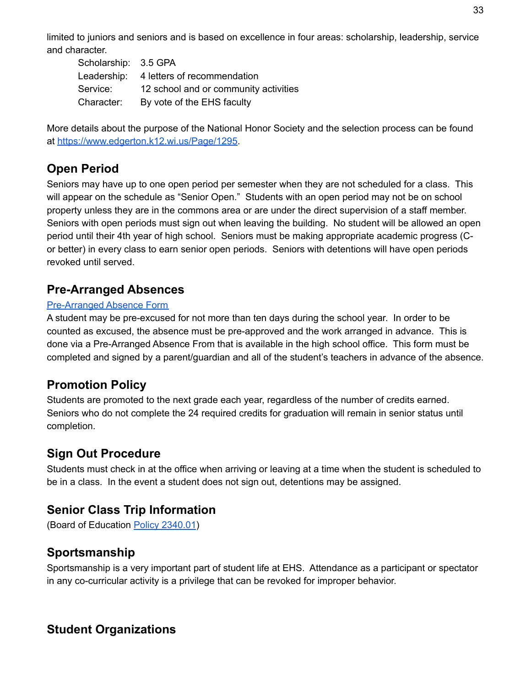limited to juniors and seniors and is based on excellence in four areas: scholarship, leadership, service and character.

| Scholarship: 3.5 GPA |                                         |
|----------------------|-----------------------------------------|
|                      | Leadership: 4 letters of recommendation |
| Service:             | 12 school and or community activities   |
| Character:           | By vote of the EHS faculty              |

More details about the purpose of the National Honor Society and the selection process can be found at [https://www.edgerton.k12.wi.us/Page/1295.](https://www.edgerton.k12.wi.us/Page/1295)

## **Open Period**

Seniors may have up to one open period per semester when they are not scheduled for a class. This will appear on the schedule as "Senior Open." Students with an open period may not be on school property unless they are in the commons area or are under the direct supervision of a staff member. Seniors with open periods must sign out when leaving the building. No student will be allowed an open period until their 4th year of high school. Seniors must be making appropriate academic progress (Cor better) in every class to earn senior open periods. Seniors with detentions will have open periods revoked until served.

#### **Pre-Arranged Absences**

#### [Pre-Arranged](https://www.edgerton.k12.wi.us/site/handlers/filedownload.ashx?moduleinstanceid=2440&dataid=8054&FileName=EHS-Pre-Arranged%20Absence%20Form.pdf) Absence Form

A student may be pre-excused for not more than ten days during the school year. In order to be counted as excused, the absence must be pre-approved and the work arranged in advance. This is done via a Pre-Arranged Absence From that is available in the high school office. This form must be completed and signed by a parent/guardian and all of the student's teachers in advance of the absence.

## **Promotion Policy**

Students are promoted to the next grade each year, regardless of the number of credits earned. Seniors who do not complete the 24 required credits for graduation will remain in senior status until completion.

## **Sign Out Procedure**

Students must check in at the office when arriving or leaving at a time when the student is scheduled to be in a class. In the event a student does not sign out, detentions may be assigned.

## **Senior Class Trip Information**

(Board of Education Policy [2340.01](http://go.boarddocs.com/wi/edge/Board.nsf/goto?open&id=BFXL8T5481B5))

## **Sportsmanship**

Sportsmanship is a very important part of student life at EHS. Attendance as a participant or spectator in any co-curricular activity is a privilege that can be revoked for improper behavior.

## **Student Organizations**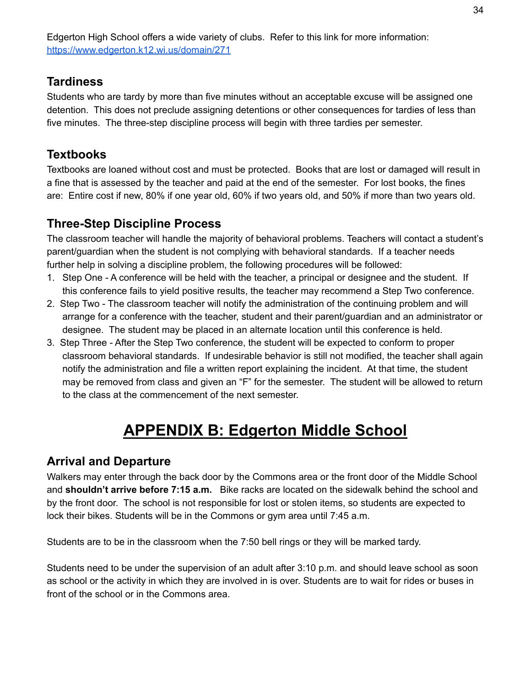Edgerton High School offers a wide variety of clubs. Refer to this link for more information: <https://www.edgerton.k12.wi.us/domain/271>

## **Tardiness**

Students who are tardy by more than five minutes without an acceptable excuse will be assigned one detention. This does not preclude assigning detentions or other consequences for tardies of less than five minutes. The three-step discipline process will begin with three tardies per semester.

## **Textbooks**

Textbooks are loaned without cost and must be protected. Books that are lost or damaged will result in a fine that is assessed by the teacher and paid at the end of the semester. For lost books, the fines are: Entire cost if new, 80% if one year old, 60% if two years old, and 50% if more than two years old.

## **Three-Step Discipline Process**

The classroom teacher will handle the majority of behavioral problems. Teachers will contact a student's parent/guardian when the student is not complying with behavioral standards. If a teacher needs further help in solving a discipline problem, the following procedures will be followed:

- 1. Step One A conference will be held with the teacher, a principal or designee and the student. If this conference fails to yield positive results, the teacher may recommend a Step Two conference.
- 2. Step Two The classroom teacher will notify the administration of the continuing problem and will arrange for a conference with the teacher, student and their parent/guardian and an administrator or designee. The student may be placed in an alternate location until this conference is held.
- 3. Step Three After the Step Two conference, the student will be expected to conform to proper classroom behavioral standards. If undesirable behavior is still not modified, the teacher shall again notify the administration and file a written report explaining the incident. At that time, the student may be removed from class and given an "F" for the semester. The student will be allowed to return to the class at the commencement of the next semester.

## **APPENDIX B: Edgerton Middle School**

## **Arrival and Departure**

Walkers may enter through the back door by the Commons area or the front door of the Middle School and **shouldn't arrive before 7:15 a.m.** Bike racks are located on the sidewalk behind the school and by the front door. The school is not responsible for lost or stolen items, so students are expected to lock their bikes. Students will be in the Commons or gym area until 7:45 a.m.

Students are to be in the classroom when the 7:50 bell rings or they will be marked tardy.

Students need to be under the supervision of an adult after 3:10 p.m. and should leave school as soon as school or the activity in which they are involved in is over. Students are to wait for rides or buses in front of the school or in the Commons area.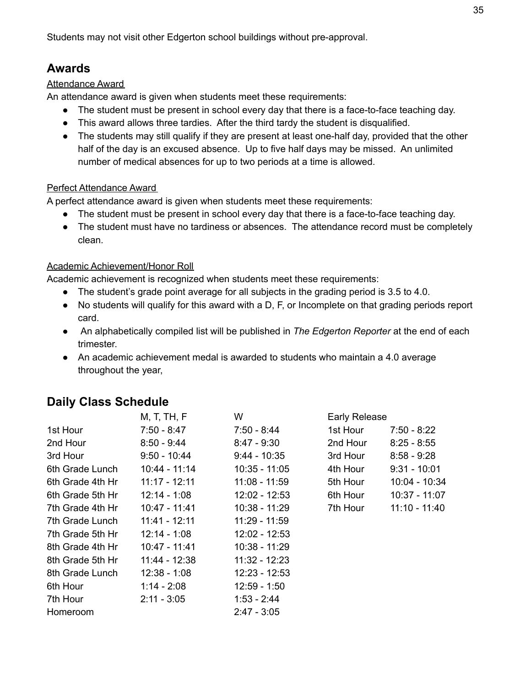Students may not visit other Edgerton school buildings without pre-approval.

### **Awards**

#### Attendance Award

An attendance award is given when students meet these requirements:

- The student must be present in school every day that there is a face-to-face teaching day.
- This award allows three tardies. After the third tardy the student is disqualified.
- The students may still qualify if they are present at least one-half day, provided that the other half of the day is an excused absence. Up to five half days may be missed. An unlimited number of medical absences for up to two periods at a time is allowed.

#### Perfect Attendance Award

A perfect attendance award is given when students meet these requirements:

- The student must be present in school every day that there is a face-to-face teaching day.
- The student must have no tardiness or absences. The attendance record must be completely clean.

#### Academic Achievement/Honor Roll

Academic achievement is recognized when students meet these requirements:

- The student's grade point average for all subjects in the grading period is 3.5 to 4.0.
- No students will qualify for this award with a D, F, or Incomplete on that grading periods report card.
- An alphabetically compiled list will be published in *The Edgerton Reporter* at the end of each trimester.
- An academic achievement medal is awarded to students who maintain a 4.0 average throughout the year,

## **Daily Class Schedule**

|                  | M, T, TH, F     | W               |          | <b>Early Release</b> |  |
|------------------|-----------------|-----------------|----------|----------------------|--|
| 1st Hour         | $7:50 - 8:47$   | $7:50 - 8:44$   | 1st Hour | $7:50 - 8:22$        |  |
| 2nd Hour         | $8:50 - 9:44$   | $8:47 - 9:30$   | 2nd Hour | $8:25 - 8:55$        |  |
| 3rd Hour         | $9:50 - 10:44$  | $9:44 - 10:35$  | 3rd Hour | $8:58 - 9:28$        |  |
| 6th Grade Lunch  | 10:44 - 11:14   | $10:35 - 11:05$ | 4th Hour | $9:31 - 10:01$       |  |
| 6th Grade 4th Hr | $11:17 - 12:11$ | 11:08 - 11:59   | 5th Hour | 10:04 - 10:34        |  |
| 6th Grade 5th Hr | $12:14 - 1:08$  | $12:02 - 12:53$ | 6th Hour | 10:37 - 11:07        |  |
| 7th Grade 4th Hr | 10:47 - 11:41   | 10:38 - 11:29   | 7th Hour | $11:10 - 11:40$      |  |
| 7th Grade Lunch  | 11:41 - 12:11   | 11:29 - 11:59   |          |                      |  |
| 7th Grade 5th Hr | $12:14 - 1:08$  | $12:02 - 12:53$ |          |                      |  |
| 8th Grade 4th Hr | 10:47 - 11:41   | 10:38 - 11:29   |          |                      |  |
| 8th Grade 5th Hr | 11:44 - 12:38   | $11:32 - 12:23$ |          |                      |  |
| 8th Grade Lunch  | $12:38 - 1:08$  | $12:23 - 12:53$ |          |                      |  |
| 6th Hour         | $1:14 - 2:08$   | $12:59 - 1:50$  |          |                      |  |
| 7th Hour         | $2:11 - 3:05$   | $1:53 - 2:44$   |          |                      |  |
| Homeroom         |                 | $2:47 - 3:05$   |          |                      |  |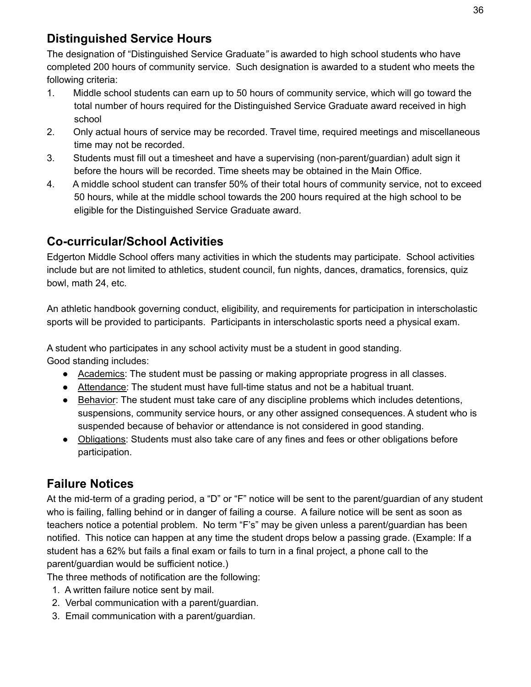## **Distinguished Service Hours**

The designation of "Distinguished Service Graduate*"* is awarded to high school students who have completed 200 hours of community service. Such designation is awarded to a student who meets the following criteria:

- 1. Middle school students can earn up to 50 hours of community service, which will go toward the total number of hours required for the Distinguished Service Graduate award received in high school
- 2. Only actual hours of service may be recorded. Travel time, required meetings and miscellaneous time may not be recorded.
- 3. Students must fill out a timesheet and have a supervising (non-parent/guardian) adult sign it before the hours will be recorded. Time sheets may be obtained in the Main Office.
- 4. A middle school student can transfer 50% of their total hours of community service, not to exceed 50 hours, while at the middle school towards the 200 hours required at the high school to be eligible for the Distinguished Service Graduate award.

## **Co-curricular/School Activities**

Edgerton Middle School offers many activities in which the students may participate. School activities include but are not limited to athletics, student council, fun nights, dances, dramatics, forensics, quiz bowl, math 24, etc.

An athletic handbook governing conduct, eligibility, and requirements for participation in interscholastic sports will be provided to participants. Participants in interscholastic sports need a physical exam.

A student who participates in any school activity must be a student in good standing.

Good standing includes:

- Academics: The student must be passing or making appropriate progress in all classes.
- Attendance: The student must have full-time status and not be a habitual truant.
- Behavior: The student must take care of any discipline problems which includes detentions, suspensions, community service hours, or any other assigned consequences. A student who is suspended because of behavior or attendance is not considered in good standing.
- Obligations: Students must also take care of any fines and fees or other obligations before participation.

## **Failure Notices**

At the mid-term of a grading period, a "D" or "F" notice will be sent to the parent/guardian of any student who is failing, falling behind or in danger of failing a course. A failure notice will be sent as soon as teachers notice a potential problem. No term "F's" may be given unless a parent/guardian has been notified. This notice can happen at any time the student drops below a passing grade. (Example: If a student has a 62% but fails a final exam or fails to turn in a final project, a phone call to the parent/guardian would be sufficient notice.)

The three methods of notification are the following:

- 1. A written failure notice sent by mail.
- 2. Verbal communication with a parent/guardian.
- 3. Email communication with a parent/guardian.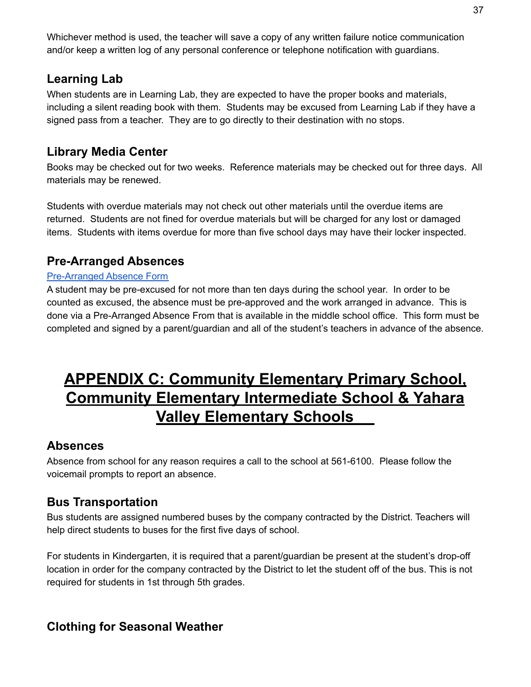Whichever method is used, the teacher will save a copy of any written failure notice communication and/or keep a written log of any personal conference or telephone notification with guardians.

## **Learning Lab**

When students are in Learning Lab, they are expected to have the proper books and materials, including a silent reading book with them. Students may be excused from Learning Lab if they have a signed pass from a teacher. They are to go directly to their destination with no stops.

## **Library Media Center**

Books may be checked out for two weeks. Reference materials may be checked out for three days. All materials may be renewed.

Students with overdue materials may not check out other materials until the overdue items are returned. Students are not fined for overdue materials but will be charged for any lost or damaged items. Students with items overdue for more than five school days may have their locker inspected.

## **Pre-Arranged Absences**

#### [Pre-Arranged](https://www.edgerton.k12.wi.us/site/handlers/filedownload.ashx?moduleinstanceid=2440&dataid=8053&FileName=EMS-Pre-Arranged%20Absence%20Form.pdf) Absence Form

A student may be pre-excused for not more than ten days during the school year. In order to be counted as excused, the absence must be pre-approved and the work arranged in advance. This is done via a Pre-Arranged Absence From that is available in the middle school office. This form must be completed and signed by a parent/guardian and all of the student's teachers in advance of the absence.

## **APPENDIX C: Community Elementary Primary School, Community Elementary Intermediate School & Yahara Valley Elementary Schools**

#### **Absences**

Absence from school for any reason requires a call to the school at 561-6100. Please follow the voicemail prompts to report an absence.

## **Bus Transportation**

Bus students are assigned numbered buses by the company contracted by the District. Teachers will help direct students to buses for the first five days of school.

For students in Kindergarten, it is required that a parent/guardian be present at the student's drop-off location in order for the company contracted by the District to let the student off of the bus. This is not required for students in 1st through 5th grades.

## **Clothing for Seasonal Weather**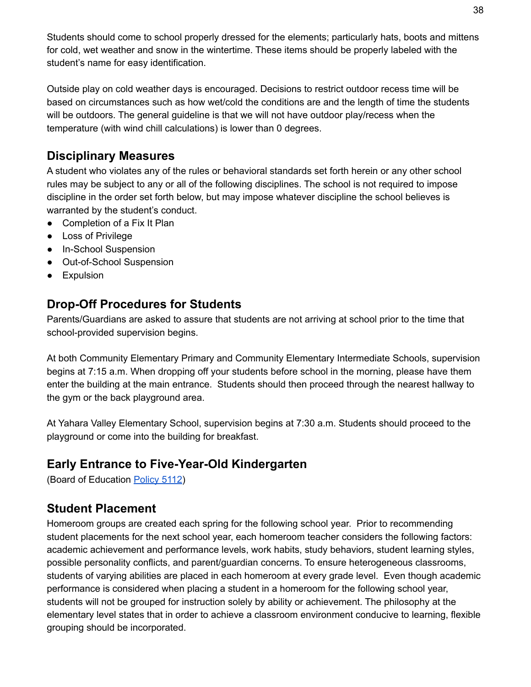Students should come to school properly dressed for the elements; particularly hats, boots and mittens for cold, wet weather and snow in the wintertime. These items should be properly labeled with the student's name for easy identification.

Outside play on cold weather days is encouraged. Decisions to restrict outdoor recess time will be based on circumstances such as how wet/cold the conditions are and the length of time the students will be outdoors. The general guideline is that we will not have outdoor play/recess when the temperature (with wind chill calculations) is lower than 0 degrees.

## **Disciplinary Measures**

A student who violates any of the rules or behavioral standards set forth herein or any other school rules may be subject to any or all of the following disciplines. The school is not required to impose discipline in the order set forth below, but may impose whatever discipline the school believes is warranted by the student's conduct.

- Completion of a Fix It Plan
- Loss of Privilege
- In-School Suspension
- Out-of-School Suspension
- **•** Expulsion

## **Drop-Off Procedures for Students**

Parents/Guardians are asked to assure that students are not arriving at school prior to the time that school-provided supervision begins.

At both Community Elementary Primary and Community Elementary Intermediate Schools, supervision begins at 7:15 a.m. When dropping off your students before school in the morning, please have them enter the building at the main entrance. Students should then proceed through the nearest hallway to the gym or the back playground area.

At Yahara Valley Elementary School, supervision begins at 7:30 a.m. Students should proceed to the playground or come into the building for breakfast.

## **Early Entrance to Five-Year-Old Kindergarten**

(Board of Education [Policy](http://go.boarddocs.com/wi/edge/Board.nsf/goto?open&id=C8WK3D4F677B) 5112)

## **Student Placement**

Homeroom groups are created each spring for the following school year. Prior to recommending student placements for the next school year, each homeroom teacher considers the following factors: academic achievement and performance levels, work habits, study behaviors, student learning styles, possible personality conflicts, and parent/guardian concerns. To ensure heterogeneous classrooms, students of varying abilities are placed in each homeroom at every grade level. Even though academic performance is considered when placing a student in a homeroom for the following school year, students will not be grouped for instruction solely by ability or achievement. The philosophy at the elementary level states that in order to achieve a classroom environment conducive to learning, flexible grouping should be incorporated.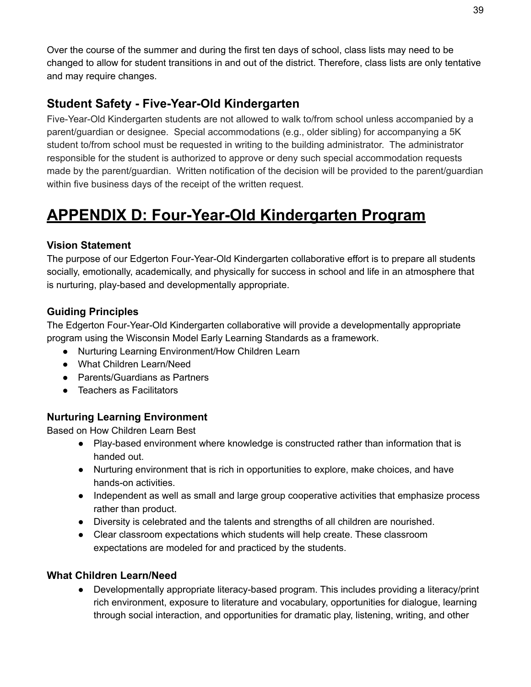Over the course of the summer and during the first ten days of school, class lists may need to be changed to allow for student transitions in and out of the district. Therefore, class lists are only tentative and may require changes.

## **Student Safety - Five-Year-Old Kindergarten**

Five-Year-Old Kindergarten students are not allowed to walk to/from school unless accompanied by a parent/guardian or designee. Special accommodations (e.g., older sibling) for accompanying a 5K student to/from school must be requested in writing to the building administrator. The administrator responsible for the student is authorized to approve or deny such special accommodation requests made by the parent/guardian. Written notification of the decision will be provided to the parent/guardian within five business days of the receipt of the written request.

## **APPENDIX D: Four-Year-Old Kindergarten Program**

#### **Vision Statement**

The purpose of our Edgerton Four-Year-Old Kindergarten collaborative effort is to prepare all students socially, emotionally, academically, and physically for success in school and life in an atmosphere that is nurturing, play-based and developmentally appropriate.

#### **Guiding Principles**

The Edgerton Four-Year-Old Kindergarten collaborative will provide a developmentally appropriate program using the Wisconsin Model Early Learning Standards as a framework.

- Nurturing Learning Environment/How Children Learn
- What Children Learn/Need
- Parents/Guardians as Partners
- Teachers as Facilitators

#### **Nurturing Learning Environment**

Based on How Children Learn Best

- Play-based environment where knowledge is constructed rather than information that is handed out.
- Nurturing environment that is rich in opportunities to explore, make choices, and have hands-on activities.
- Independent as well as small and large group cooperative activities that emphasize process rather than product.
- Diversity is celebrated and the talents and strengths of all children are nourished.
- Clear classroom expectations which students will help create. These classroom expectations are modeled for and practiced by the students.

#### **What Children Learn/Need**

● Developmentally appropriate literacy-based program. This includes providing a literacy/print rich environment, exposure to literature and vocabulary, opportunities for dialogue, learning through social interaction, and opportunities for dramatic play, listening, writing, and other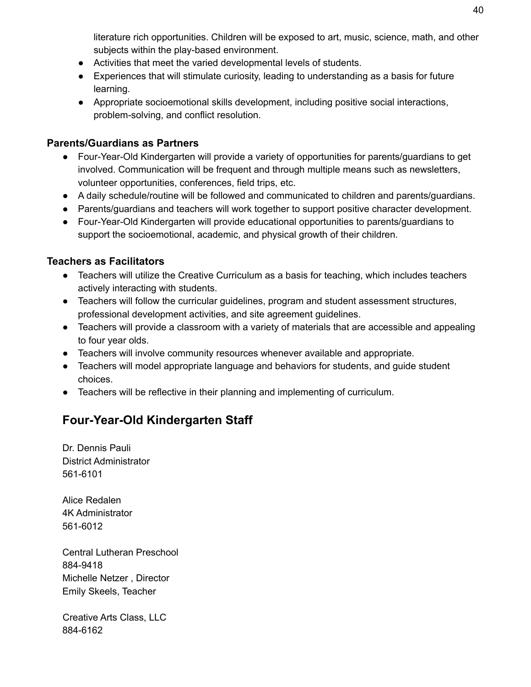literature rich opportunities. Children will be exposed to art, music, science, math, and other subjects within the play-based environment.

- Activities that meet the varied developmental levels of students.
- Experiences that will stimulate curiosity, leading to understanding as a basis for future learning.
- Appropriate socioemotional skills development, including positive social interactions, problem-solving, and conflict resolution.

#### **Parents/Guardians as Partners**

- Four-Year-Old Kindergarten will provide a variety of opportunities for parents/guardians to get involved. Communication will be frequent and through multiple means such as newsletters, volunteer opportunities, conferences, field trips, etc.
- A daily schedule/routine will be followed and communicated to children and parents/guardians.
- Parents/guardians and teachers will work together to support positive character development.
- Four-Year-Old Kindergarten will provide educational opportunities to parents/guardians to support the socioemotional, academic, and physical growth of their children.

#### **Teachers as Facilitators**

- Teachers will utilize the Creative Curriculum as a basis for teaching, which includes teachers actively interacting with students.
- Teachers will follow the curricular guidelines, program and student assessment structures, professional development activities, and site agreement guidelines.
- Teachers will provide a classroom with a variety of materials that are accessible and appealing to four year olds.
- Teachers will involve community resources whenever available and appropriate.
- Teachers will model appropriate language and behaviors for students, and guide student choices.
- Teachers will be reflective in their planning and implementing of curriculum.

## **Four-Year-Old Kindergarten Staff**

Dr. Dennis Pauli District Administrator 561-6101

Alice Redalen 4K Administrator 561-6012

Central Lutheran Preschool 884-9418 Michelle Netzer , Director Emily Skeels, Teacher

Creative Arts Class, LLC 884-6162